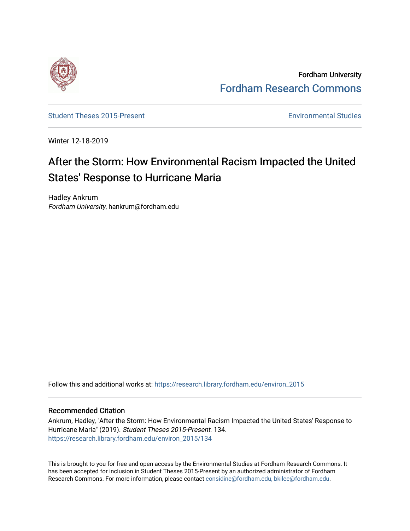

Fordham University [Fordham Research Commons](https://research.library.fordham.edu/) 

[Student Theses 2015-Present](https://research.library.fordham.edu/environ_2015) **Environmental Studies** Environmental Studies

Winter 12-18-2019

# After the Storm: How Environmental Racism Impacted the United States' Response to Hurricane Maria

Hadley Ankrum Fordham University, hankrum@fordham.edu

Follow this and additional works at: [https://research.library.fordham.edu/environ\\_2015](https://research.library.fordham.edu/environ_2015?utm_source=research.library.fordham.edu%2Fenviron_2015%2F134&utm_medium=PDF&utm_campaign=PDFCoverPages)

#### Recommended Citation

Ankrum, Hadley, "After the Storm: How Environmental Racism Impacted the United States' Response to Hurricane Maria" (2019). Student Theses 2015-Present. 134. [https://research.library.fordham.edu/environ\\_2015/134](https://research.library.fordham.edu/environ_2015/134?utm_source=research.library.fordham.edu%2Fenviron_2015%2F134&utm_medium=PDF&utm_campaign=PDFCoverPages)

This is brought to you for free and open access by the Environmental Studies at Fordham Research Commons. It has been accepted for inclusion in Student Theses 2015-Present by an authorized administrator of Fordham Research Commons. For more information, please contact [considine@fordham.edu, bkilee@fordham.edu](mailto:considine@fordham.edu,%20bkilee@fordham.edu).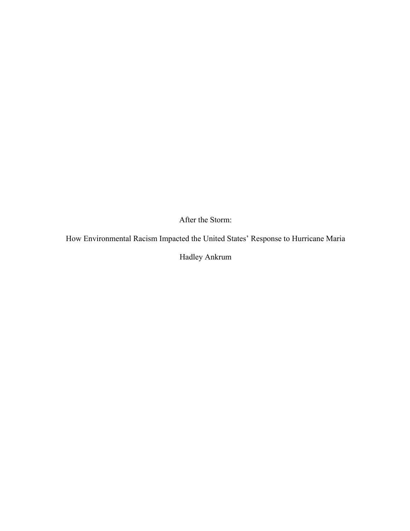After the Storm:

How Environmental Racism Impacted the United States' Response to Hurricane Maria

Hadley Ankrum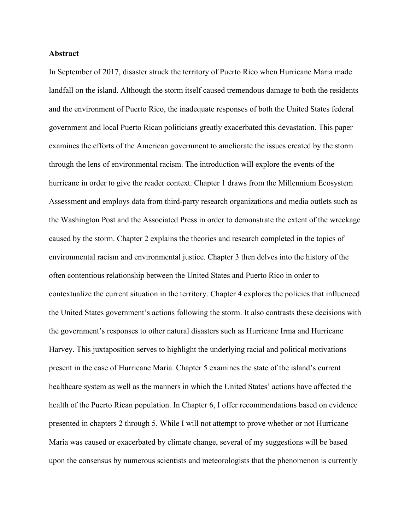#### **Abstract**

In September of 2017, disaster struck the territory of Puerto Rico when Hurricane Maria made landfall on the island. Although the storm itself caused tremendous damage to both the residents and the environment of Puerto Rico, the inadequate responses of both the United States federal government and local Puerto Rican politicians greatly exacerbated this devastation. This paper examines the efforts of the American government to ameliorate the issues created by the storm through the lens of environmental racism. The introduction will explore the events of the hurricane in order to give the reader context. Chapter 1 draws from the Millennium Ecosystem Assessment and employs data from third-party research organizations and media outlets such as the Washington Post and the Associated Press in order to demonstrate the extent of the wreckage caused by the storm. Chapter 2 explains the theories and research completed in the topics of environmental racism and environmental justice. Chapter 3 then delves into the history of the often contentious relationship between the United States and Puerto Rico in order to contextualize the current situation in the territory. Chapter 4 explores the policies that influenced the United States government's actions following the storm. It also contrasts these decisions with the government's responses to other natural disasters such as Hurricane Irma and Hurricane Harvey. This juxtaposition serves to highlight the underlying racial and political motivations present in the case of Hurricane Maria. Chapter 5 examines the state of the island's current healthcare system as well as the manners in which the United States' actions have affected the health of the Puerto Rican population. In Chapter 6, I offer recommendations based on evidence presented in chapters 2 through 5. While I will not attempt to prove whether or not Hurricane Maria was caused or exacerbated by climate change, several of my suggestions will be based upon the consensus by numerous scientists and meteorologists that the phenomenon is currently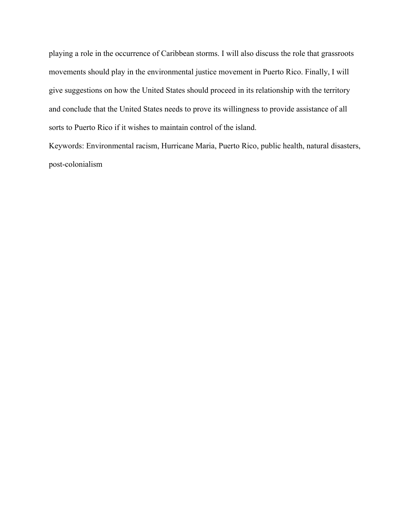playing a role in the occurrence of Caribbean storms. I will also discuss the role that grassroots movements should play in the environmental justice movement in Puerto Rico. Finally, I will give suggestions on how the United States should proceed in its relationship with the territory and conclude that the United States needs to prove its willingness to provide assistance of all sorts to Puerto Rico if it wishes to maintain control of the island.

Keywords: Environmental racism, Hurricane Maria, Puerto Rico, public health, natural disasters, post-colonialism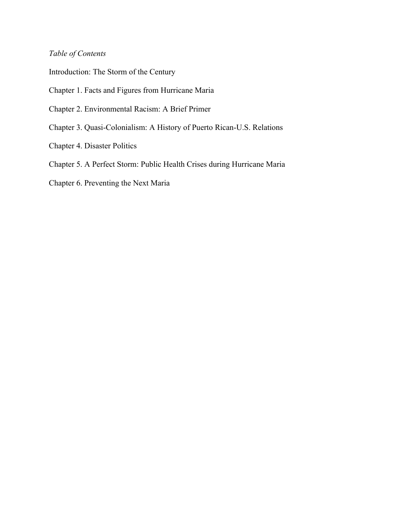## *Table of Contents*

Introduction: The Storm of the Century

Chapter 1. Facts and Figures from Hurricane Maria

- Chapter 2. Environmental Racism: A Brief Primer
- Chapter 3. Quasi-Colonialism: A History of Puerto Rican-U.S. Relations
- Chapter 4. Disaster Politics
- Chapter 5. A Perfect Storm: Public Health Crises during Hurricane Maria
- Chapter 6. Preventing the Next Maria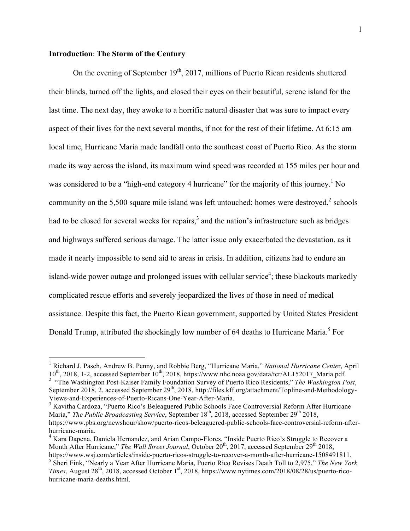#### **Introduction**: **The Storm of the Century**

On the evening of September  $19<sup>th</sup>$ , 2017, millions of Puerto Rican residents shuttered their blinds, turned off the lights, and closed their eyes on their beautiful, serene island for the last time. The next day, they awoke to a horrific natural disaster that was sure to impact every aspect of their lives for the next several months, if not for the rest of their lifetime. At 6:15 am local time, Hurricane Maria made landfall onto the southeast coast of Puerto Rico. As the storm made its way across the island, its maximum wind speed was recorded at 155 miles per hour and was considered to be a "high-end category 4 hurricane" for the majority of this journey.<sup>1</sup> No community on the  $5,500$  square mile island was left untouched; homes were destroyed, $2$  schools had to be closed for several weeks for repairs, $3$  and the nation's infrastructure such as bridges and highways suffered serious damage. The latter issue only exacerbated the devastation, as it made it nearly impossible to send aid to areas in crisis. In addition, citizens had to endure an island-wide power outage and prolonged issues with cellular service<sup>4</sup>; these blackouts markedly complicated rescue efforts and severely jeopardized the lives of those in need of medical assistance. Despite this fact, the Puerto Rican government, supported by United States President Donald Trump, attributed the shockingly low number of 64 deaths to Hurricane Maria.<sup>5</sup> For

Maria," *The Public Broadcasting Service*, September 18<sup>th</sup>, 2018, accessed September 29<sup>th</sup> 2018, https://www.pbs.org/newshour/show/puerto-ricos-beleaguered-public-schools-face-controversial-reform-afterhurricane-maria.

 <sup>1</sup> Richard J. Pasch, Andrew B. Penny, and Robbie Berg, "Hurricane Maria," *National Hurricane Cente*r, April 10<sup>th</sup>, 2018, 1-2, accessed September 10<sup>th</sup>, 2018, https://www.nhc.noaa.gov/data/tcr/AL152017\_Maria.pdf.

<sup>&</sup>lt;sup>2</sup> "The Washington Post-Kaiser Family Foundation Survey of Puerto Rico Residents," *The Washington Post*, September 2018, 2, accessed September 29<sup>th</sup>, 2018, http://files.kff.org/attachment/Topline-and-Methodology-Views-and-Experiences-of-Puerto-Ricans-One-Year-After-Maria.<br><sup>3</sup> Kavitha Cardoza, "Puerto Rico's Beleaguered Public Schools Face Controversial Reform After Hurricane

<sup>&</sup>lt;sup>4</sup> Kara Dapena, Daniela Hernandez, and Arian Campo-Flores, "Inside Puerto Rico's Struggle to Recover a Month After Hurricane," *The Wall Street Journal*, October 20<sup>th</sup>, 2017, accessed September 29<sup>th</sup> 2018, https://www.wsj.com/articles/inside-puerto-ricos-struggle-to-recover-a-month-after-hurricane-1508491811.

<sup>5</sup> Sheri Fink, "Nearly a Year After Hurricane Maria, Puerto Rico Revises Death Toll to 2,975," *The New York Times*, August 28<sup>th</sup>, 2018, accessed October 1<sup>st</sup>, 2018, https://www.nytimes.com/2018/08/28/us/puerto-ricohurricane-maria-deaths.html.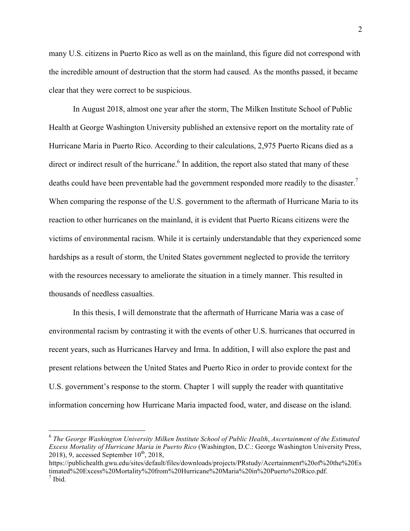many U.S. citizens in Puerto Rico as well as on the mainland, this figure did not correspond with the incredible amount of destruction that the storm had caused. As the months passed, it became clear that they were correct to be suspicious.

In August 2018, almost one year after the storm, The Milken Institute School of Public Health at George Washington University published an extensive report on the mortality rate of Hurricane Maria in Puerto Rico. According to their calculations, 2,975 Puerto Ricans died as a direct or indirect result of the hurricane.<sup>6</sup> In addition, the report also stated that many of these deaths could have been preventable had the government responded more readily to the disaster.<sup>7</sup> When comparing the response of the U.S. government to the aftermath of Hurricane Maria to its reaction to other hurricanes on the mainland, it is evident that Puerto Ricans citizens were the victims of environmental racism. While it is certainly understandable that they experienced some hardships as a result of storm, the United States government neglected to provide the territory with the resources necessary to ameliorate the situation in a timely manner. This resulted in thousands of needless casualties.

In this thesis, I will demonstrate that the aftermath of Hurricane Maria was a case of environmental racism by contrasting it with the events of other U.S. hurricanes that occurred in recent years, such as Hurricanes Harvey and Irma. In addition, I will also explore the past and present relations between the United States and Puerto Rico in order to provide context for the U.S. government's response to the storm. Chapter 1 will supply the reader with quantitative information concerning how Hurricane Maria impacted food, water, and disease on the island.

 <sup>6</sup> *The George Washington University Milken Institute School of Public Health*, *Ascertainment of the Estimated Excess Mortality of Hurricane Maria in Puerto Rico* (Washington, D.C.: George Washington University Press, 2018), 9, accessed September  $10^{th}$ , 2018,

https://publichealth.gwu.edu/sites/default/files/downloads/projects/PRstudy/Acertainment%20of%20the%20Es timated%20Excess%20Mortality%20from%20Hurricane%20Maria%20in%20Puerto%20Rico.pdf. 7 Ibid.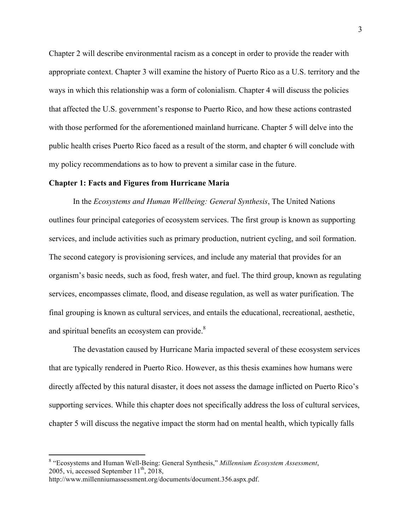Chapter 2 will describe environmental racism as a concept in order to provide the reader with appropriate context. Chapter 3 will examine the history of Puerto Rico as a U.S. territory and the ways in which this relationship was a form of colonialism. Chapter 4 will discuss the policies that affected the U.S. government's response to Puerto Rico, and how these actions contrasted with those performed for the aforementioned mainland hurricane. Chapter 5 will delve into the public health crises Puerto Rico faced as a result of the storm, and chapter 6 will conclude with my policy recommendations as to how to prevent a similar case in the future.

#### **Chapter 1: Facts and Figures from Hurricane Maria**

In the *Ecosystems and Human Wellbeing: General Synthesis*, The United Nations outlines four principal categories of ecosystem services. The first group is known as supporting services, and include activities such as primary production, nutrient cycling, and soil formation. The second category is provisioning services, and include any material that provides for an organism's basic needs, such as food, fresh water, and fuel. The third group, known as regulating services, encompasses climate, flood, and disease regulation, as well as water purification. The final grouping is known as cultural services, and entails the educational, recreational, aesthetic, and spiritual benefits an ecosystem can provide.<sup>8</sup>

The devastation caused by Hurricane Maria impacted several of these ecosystem services that are typically rendered in Puerto Rico. However, as this thesis examines how humans were directly affected by this natural disaster, it does not assess the damage inflicted on Puerto Rico's supporting services. While this chapter does not specifically address the loss of cultural services, chapter 5 will discuss the negative impact the storm had on mental health, which typically falls

 <sup>8</sup> "Ecosystems and Human Well-Being: General Synthesis," *Millennium Ecosystem Assessment*, 2005, vi, accessed September  $11^{th}$ , 2018,

http://www.millenniumassessment.org/documents/document.356.aspx.pdf.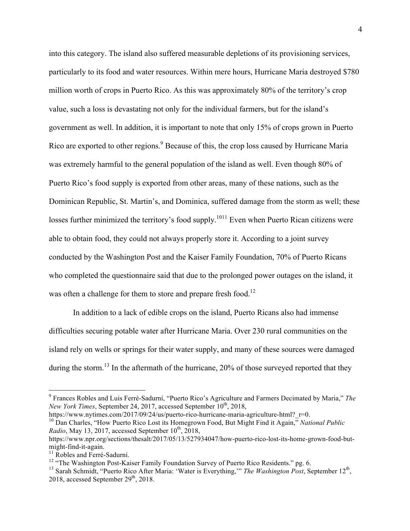into this category. The island also suffered measurable depletions of its provisioning services, particularly to its food and water resources. Within mere hours, Hurricane Maria destroyed \$780 million worth of crops in Puerto Rico. As this was approximately 80% of the territory's crop value, such a loss is devastating not only for the individual farmers, but for the island's government as well. In addition, it is important to note that only 15% of crops grown in Puerto Rico are exported to other regions.<sup>9</sup> Because of this, the crop loss caused by Hurricane Maria was extremely harmful to the general population of the island as well. Even though 80% of Puerto Rico's food supply is exported from other areas, many of these nations, such as the Dominican Republic, St. Martin's, and Dominica, suffered damage from the storm as well; these losses further minimized the territory's food supply.<sup>1011</sup> Even when Puerto Rican citizens were able to obtain food, they could not always properly store it. According to a joint survey conducted by the Washington Post and the Kaiser Family Foundation, 70% of Puerto Ricans who completed the questionnaire said that due to the prolonged power outages on the island, it was often a challenge for them to store and prepare fresh food.<sup>12</sup>

In addition to a lack of edible crops on the island, Puerto Ricans also had immense difficulties securing potable water after Hurricane Maria. Over 230 rural communities on the island rely on wells or springs for their water supply, and many of these sources were damaged during the storm.<sup>13</sup> In the aftermath of the hurricane,  $20\%$  of those surveyed reported that they

https://www.nytimes.com/2017/09/24/us/puerto-rico-hurricane-maria-agriculture-html? $r=0$ .

<sup>10</sup> Dan Charles, "How Puerto Rico Lost its Homegrown Food, But Might Find it Again," *National Public Radio*, May 13, 2017, accessed September  $10^{th}$ , 2018,

 <sup>9</sup> Frances Robles and Luis Ferré-Sadurní, "Puerto Rico's Agriculture and Farmers Decimated by Maria," *The New York Times*, September 24, 2017, accessed September 10<sup>th</sup>, 2018,

https://www.npr.org/sections/thesalt/2017/05/13/527934047/how-puerto-rico-lost-its-home-grown-food-butmight-find-it-again.<br><sup>11</sup> Robles and Ferré-Sadurní.

<sup>&</sup>lt;sup>12</sup> "The Washington Post-Kaiser Family Foundation Survey of Puerto Rico Residents." pg. 6.

<sup>&</sup>lt;sup>13</sup> Sarah Schmidt, "Puerto Rico After Maria: 'Water is Everything," *The Washington Post*, September 12<sup>th</sup>, 2018, accessed September  $29<sup>th</sup>$ , 2018.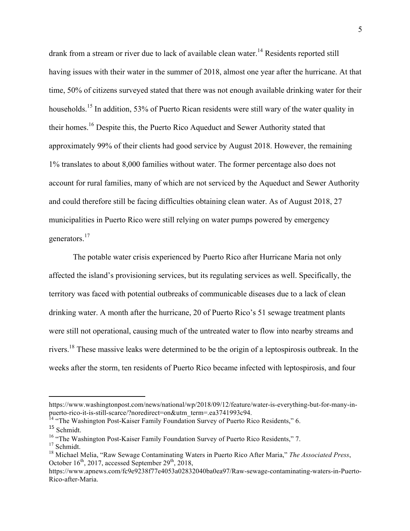drank from a stream or river due to lack of available clean water.<sup>14</sup> Residents reported still having issues with their water in the summer of 2018, almost one year after the hurricane. At that time, 50% of citizens surveyed stated that there was not enough available drinking water for their households.<sup>15</sup> In addition, 53% of Puerto Rican residents were still wary of the water quality in their homes.16 Despite this, the Puerto Rico Aqueduct and Sewer Authority stated that approximately 99% of their clients had good service by August 2018. However, the remaining 1% translates to about 8,000 families without water. The former percentage also does not account for rural families, many of which are not serviced by the Aqueduct and Sewer Authority and could therefore still be facing difficulties obtaining clean water. As of August 2018, 27 municipalities in Puerto Rico were still relying on water pumps powered by emergency generators.<sup>17</sup>

The potable water crisis experienced by Puerto Rico after Hurricane Maria not only affected the island's provisioning services, but its regulating services as well. Specifically, the territory was faced with potential outbreaks of communicable diseases due to a lack of clean drinking water. A month after the hurricane, 20 of Puerto Rico's 51 sewage treatment plants were still not operational, causing much of the untreated water to flow into nearby streams and rivers.18 These massive leaks were determined to be the origin of a leptospirosis outbreak. In the weeks after the storm, ten residents of Puerto Rico became infected with leptospirosis, and four

 

https://www.washingtonpost.com/news/national/wp/2018/09/12/feature/water-is-everything-but-for-many-inpuerto-rico-it-is-still-scarce/?noredirect=on&utm\_term=.ea3741993c94.

<sup>&</sup>lt;sup>14</sup> "The Washington Post-Kaiser Family Foundation Survey of Puerto Rico Residents," 6. <sup>15</sup> Schmidt.

<sup>&</sup>lt;sup>16</sup> "The Washington Post-Kaiser Family Foundation Survey of Puerto Rico Residents," 7.

<sup>&</sup>lt;sup>17</sup> Schmidt.

<sup>18</sup> Michael Melia, "Raw Sewage Contaminating Waters in Puerto Rico After Maria," *The Associated Press*, October  $16^{th}$ , 2017, accessed September  $29^{th}$ , 2018,

https://www.apnews.com/fc9e9238f77e4053a02832040ba0ea97/Raw-sewage-contaminating-waters-in-Puerto-Rico-after-Maria.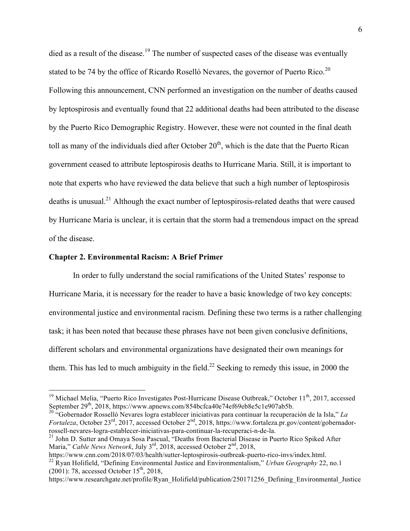died as a result of the disease.<sup>19</sup> The number of suspected cases of the disease was eventually stated to be 74 by the office of Ricardo Roselló Nevares, the governor of Puerto Rico.<sup>20</sup> Following this announcement, CNN performed an investigation on the number of deaths caused by leptospirosis and eventually found that 22 additional deaths had been attributed to the disease by the Puerto Rico Demographic Registry. However, these were not counted in the final death toll as many of the individuals died after October  $20<sup>th</sup>$ , which is the date that the Puerto Rican government ceased to attribute leptospirosis deaths to Hurricane Maria. Still, it is important to note that experts who have reviewed the data believe that such a high number of leptospirosis deaths is unusual.<sup>21</sup> Although the exact number of leptospirosis-related deaths that were caused by Hurricane Maria is unclear, it is certain that the storm had a tremendous impact on the spread of the disease.

#### **Chapter 2. Environmental Racism: A Brief Primer**

In order to fully understand the social ramifications of the United States' response to Hurricane Maria, it is necessary for the reader to have a basic knowledge of two key concepts: environmental justice and environmental racism. Defining these two terms is a rather challenging task; it has been noted that because these phrases have not been given conclusive definitions, different scholars and environmental organizations have designated their own meanings for them. This has led to much ambiguity in the field.<sup>22</sup> Seeking to remedy this issue, in 2000 the

*Fortaleza*, October 23<sup>rd</sup>, 2017, accessed October 2<sup>nd</sup>, 2018, https://www.fortaleza.pr.gov/content/gobernadorrossell-nevares-logra-establecer-iniciativas-para-continuar-la-recuperaci-n-de-la.

<sup>&</sup>lt;sup>19</sup> Michael Melia, "Puerto Rico Investigates Post-Hurricane Disease Outbreak," October 11<sup>th</sup>, 2017, accessed September 29<sup>th</sup>, 2018, https://www.apnews.com/854bcfca40e74ef69eb8e5c1e907ab5b.<br><sup>20</sup> "Gobernador Rosselló Nevares logra establecer iniciativas para continuar la recuperación de la Isla," *La* 

<sup>&</sup>lt;sup>21</sup> John D. Sutter and Omaya Sosa Pascual, "Deaths from Bacterial Disease in Puerto Rico Spiked After Maria," *Cable News Network*, July 3<sup>rd</sup>, 2018, accessed October 2<sup>nd</sup>, 2018,

https://www.cnn.com/2018/07/03/health/sutter-leptospirosis-outbreak-puerto-rico-invs/index.html. <sup>22</sup> Ryan Holifield, "Defining Environmental Justice and Environmentalism," *Urban Geography* 22, no.1 (2001): 78, accessed October  $15<sup>th</sup>$ , 2018,

https://www.researchgate.net/profile/Ryan\_Holifield/publication/250171256\_Defining\_Environmental\_Justice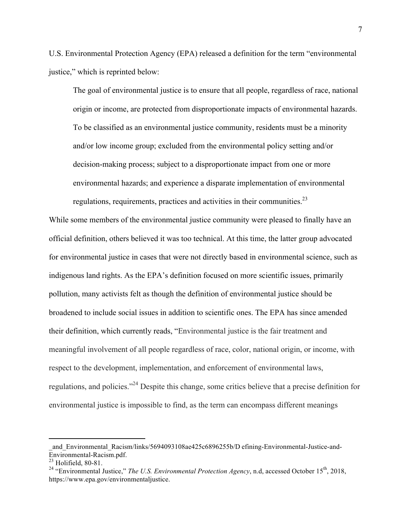U.S. Environmental Protection Agency (EPA) released a definition for the term "environmental justice," which is reprinted below:

The goal of environmental justice is to ensure that all people, regardless of race, national origin or income, are protected from disproportionate impacts of environmental hazards. To be classified as an environmental justice community, residents must be a minority and/or low income group; excluded from the environmental policy setting and/or decision-making process; subject to a disproportionate impact from one or more environmental hazards; and experience a disparate implementation of environmental regulations, requirements, practices and activities in their communities. $^{23}$ 

While some members of the environmental justice community were pleased to finally have an official definition, others believed it was too technical. At this time, the latter group advocated for environmental justice in cases that were not directly based in environmental science, such as indigenous land rights. As the EPA's definition focused on more scientific issues, primarily pollution, many activists felt as though the definition of environmental justice should be broadened to include social issues in addition to scientific ones. The EPA has since amended their definition, which currently reads, "Environmental justice is the fair treatment and meaningful involvement of all people regardless of race, color, national origin, or income, with respect to the development, implementation, and enforcement of environmental laws, regulations, and policies."24 Despite this change, some critics believe that a precise definition for environmental justice is impossible to find, as the term can encompass different meanings

 

and Environmental Racism/links/5694093108ae425c6896255b/D efining-Environmental-Justice-and-Environmental-Racism.pdf.

 $23$  Holifield, 80-81.

<sup>&</sup>lt;sup>24</sup> "Environmental Justice," *The U.S. Environmental Protection Agency*, n.d, accessed October 15<sup>th</sup>, 2018, https://www.epa.gov/environmentaljustice.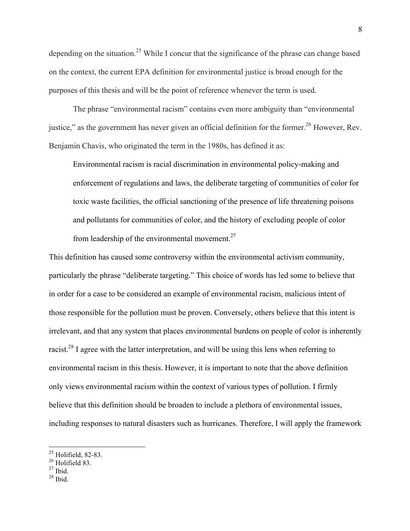depending on the situation.<sup>25</sup> While I concur that the significance of the phrase can change based on the context, the current EPA definition for environmental justice is broad enough for the purposes of this thesis and will be the point of reference whenever the term is used.

The phrase "environmental racism" contains even more ambiguity than "environmental justice," as the government has never given an official definition for the former.<sup>26</sup> However, Rev. Benjamin Chavis, who originated the term in the 1980s, has defined it as:

Environmental racism is racial discrimination in environmental policy-making and enforcement of regulations and laws, the deliberate targeting of communities of color for toxic waste facilities, the official sanctioning of the presence of life threatening poisons and pollutants for communities of color, and the history of excluding people of color from leadership of the environmental movement. $27$ 

This definition has caused some controversy within the environmental activism community, particularly the phrase "deliberate targeting." This choice of words has led some to believe that in order for a case to be considered an example of environmental racism, malicious intent of those responsible for the pollution must be proven. Conversely, others believe that this intent is irrelevant, and that any system that places environmental burdens on people of color is inherently racist.<sup>28</sup> I agree with the latter interpretation, and will be using this lens when referring to environmental racism in this thesis. However, it is important to note that the above definition only views environmental racism within the context of various types of pollution. I firmly believe that this definition should be broaden to include a plethora of environmental issues, including responses to natural disasters such as hurricanes. Therefore, I will apply the framework

 $\frac{25}{25}$  Holifield, 82-83.

 $26$  Holifield 83.

 $27$  Ibid.

 $28$  Ibid.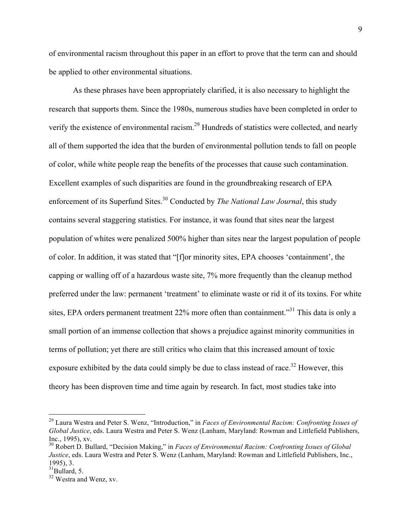of environmental racism throughout this paper in an effort to prove that the term can and should be applied to other environmental situations.

As these phrases have been appropriately clarified, it is also necessary to highlight the research that supports them. Since the 1980s, numerous studies have been completed in order to verify the existence of environmental racism.29 Hundreds of statistics were collected, and nearly all of them supported the idea that the burden of environmental pollution tends to fall on people of color, while white people reap the benefits of the processes that cause such contamination. Excellent examples of such disparities are found in the groundbreaking research of EPA enforcement of its Superfund Sites.<sup>30</sup> Conducted by *The National Law Journal*, this study contains several staggering statistics. For instance, it was found that sites near the largest population of whites were penalized 500% higher than sites near the largest population of people of color. In addition, it was stated that "[f]or minority sites, EPA chooses 'containment', the capping or walling off of a hazardous waste site, 7% more frequently than the cleanup method preferred under the law: permanent 'treatment' to eliminate waste or rid it of its toxins. For white sites, EPA orders permanent treatment 22% more often than containment."<sup>31</sup> This data is only a small portion of an immense collection that shows a prejudice against minority communities in terms of pollution; yet there are still critics who claim that this increased amount of toxic exposure exhibited by the data could simply be due to class instead of race.<sup>32</sup> However, this theory has been disproven time and time again by research. In fact, most studies take into

 <sup>29</sup> Laura Westra and Peter S. Wenz, "Introduction," in *Faces of Environmental Racism: Confronting Issues of Global Justice*, eds. Laura Westra and Peter S. Wenz (Lanham, Maryland: Rowman and Littlefield Publishers, Inc., 1995), xv.

<sup>30</sup> Robert D. Bullard, "Decision Making," in *Faces of Environmental Racism: Confronting Issues of Global Justice*, eds. Laura Westra and Peter S. Wenz (Lanham, Maryland: Rowman and Littlefield Publishers, Inc., 1995), 3.<br> $31$ Bullard, 5.<br> $32$  Westra and Wenz, xv.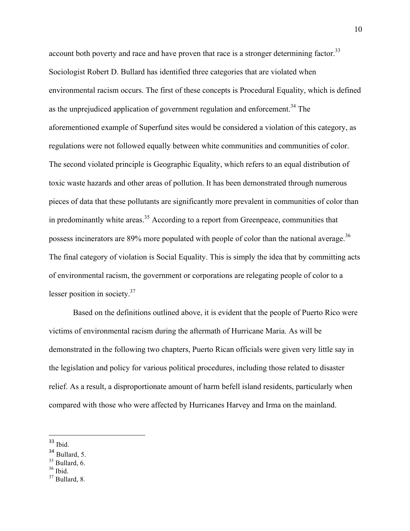account both poverty and race and have proven that race is a stronger determining factor.<sup>33</sup> Sociologist Robert D. Bullard has identified three categories that are violated when environmental racism occurs. The first of these concepts is Procedural Equality, which is defined as the unprejudiced application of government regulation and enforcement.<sup>34</sup> The aforementioned example of Superfund sites would be considered a violation of this category, as regulations were not followed equally between white communities and communities of color. The second violated principle is Geographic Equality, which refers to an equal distribution of toxic waste hazards and other areas of pollution. It has been demonstrated through numerous pieces of data that these pollutants are significantly more prevalent in communities of color than in predominantly white areas. <sup>35</sup> According to a report from Greenpeace, communities that possess incinerators are  $89\%$  more populated with people of color than the national average.<sup>36</sup> The final category of violation is Social Equality. This is simply the idea that by committing acts of environmental racism, the government or corporations are relegating people of color to a lesser position in society. $37$ 

Based on the definitions outlined above, it is evident that the people of Puerto Rico were victims of environmental racism during the aftermath of Hurricane Maria. As will be demonstrated in the following two chapters, Puerto Rican officials were given very little say in the legislation and policy for various political procedures, including those related to disaster relief. As a result, a disproportionate amount of harm befell island residents, particularly when compared with those who were affected by Hurricanes Harvey and Irma on the mainland.

 

- $35$  Bullard, 6.
- $36$  Ibid.

<sup>33</sup> Ibid.

<sup>34</sup> Bullard, 5.

 $37$  Bullard, 8.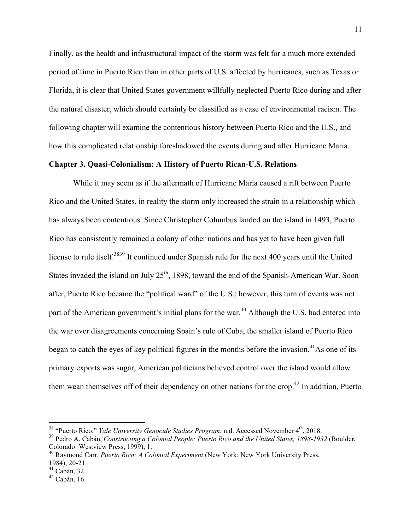Finally, as the health and infrastructural impact of the storm was felt for a much more extended period of time in Puerto Rico than in other parts of U.S. affected by hurricanes, such as Texas or Florida, it is clear that United States government willfully neglected Puerto Rico during and after the natural disaster, which should certainly be classified as a case of environmental racism. The following chapter will examine the contentious history between Puerto Rico and the U.S., and how this complicated relationship foreshadowed the events during and after Hurricane Maria.

#### **Chapter 3. Quasi-Colonialism: A History of Puerto Rican-U.S. Relations**

While it may seem as if the aftermath of Hurricane Maria caused a rift between Puerto Rico and the United States, in reality the storm only increased the strain in a relationship which has always been contentious. Since Christopher Columbus landed on the island in 1493, Puerto Rico has consistently remained a colony of other nations and has yet to have been given full license to rule itself.<sup>3839</sup> It continued under Spanish rule for the next 400 years until the United States invaded the island on July 25<sup>th</sup>, 1898, toward the end of the Spanish-American War. Soon after, Puerto Rico became the "political ward" of the U.S.; however, this turn of events was not part of the American government's initial plans for the war.<sup>40</sup> Although the U.S. had entered into the war over disagreements concerning Spain's rule of Cuba, the smaller island of Puerto Rico began to catch the eyes of key political figures in the months before the invasion.<sup>41</sup>As one of its primary exports was sugar, American politicians believed control over the island would allow them wean themselves off of their dependency on other nations for the crop.<sup>42</sup> In addition, Puerto

<sup>&</sup>lt;sup>38</sup> "Puerto Rico," *Yale University Genocide Studies Program*, n.d. Accessed November 4<sup>th</sup>, 2018.

<sup>39</sup> Pedro A. Cabán, *Constructing a Colonial People: Puerto Rico and the United States, 1898-1932* (Boulder, Colorado: Westview Press, 1999), 1.

<sup>40</sup> Raymond Carr, *Puerto Rico: A Colonial Experiment* (New York: New York University Press, 1984), 20-21.

 $41$  Cabán, 32.

 $42$  Cabán, 16.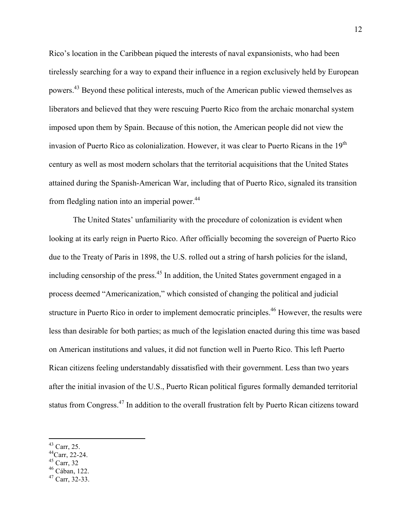Rico's location in the Caribbean piqued the interests of naval expansionists, who had been tirelessly searching for a way to expand their influence in a region exclusively held by European powers.<sup>43</sup> Beyond these political interests, much of the American public viewed themselves as liberators and believed that they were rescuing Puerto Rico from the archaic monarchal system imposed upon them by Spain. Because of this notion, the American people did not view the invasion of Puerto Rico as colonialization. However, it was clear to Puerto Ricans in the  $19<sup>th</sup>$ century as well as most modern scholars that the territorial acquisitions that the United States attained during the Spanish-American War, including that of Puerto Rico, signaled its transition from fledgling nation into an imperial power.  $44$ 

The United States' unfamiliarity with the procedure of colonization is evident when looking at its early reign in Puerto Rico. After officially becoming the sovereign of Puerto Rico due to the Treaty of Paris in 1898, the U.S. rolled out a string of harsh policies for the island, including censorship of the press. $45$  In addition, the United States government engaged in a process deemed "Americanization," which consisted of changing the political and judicial structure in Puerto Rico in order to implement democratic principles.<sup>46</sup> However, the results were less than desirable for both parties; as much of the legislation enacted during this time was based on American institutions and values, it did not function well in Puerto Rico. This left Puerto Rican citizens feeling understandably dissatisfied with their government. Less than two years after the initial invasion of the U.S., Puerto Rican political figures formally demanded territorial status from Congress.<sup>47</sup> In addition to the overall frustration felt by Puerto Rican citizens toward

- 44Carr, 22-24.
- 
- $^{45}$  Carr, 32<br> $^{46}$  Cában, 122.
- $47$  Carr, 32-33.

 $43$  Carr, 25.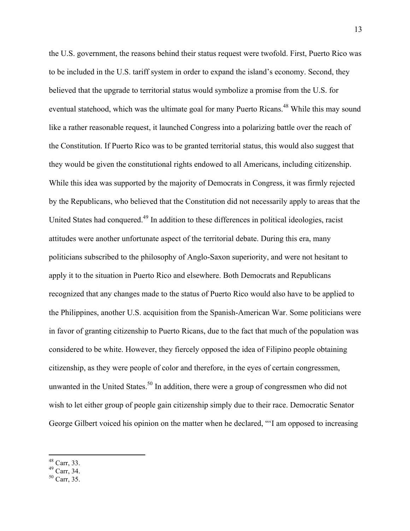the U.S. government, the reasons behind their status request were twofold. First, Puerto Rico was to be included in the U.S. tariff system in order to expand the island's economy. Second, they believed that the upgrade to territorial status would symbolize a promise from the U.S. for eventual statehood, which was the ultimate goal for many Puerto Ricans.<sup>48</sup> While this may sound like a rather reasonable request, it launched Congress into a polarizing battle over the reach of the Constitution. If Puerto Rico was to be granted territorial status, this would also suggest that they would be given the constitutional rights endowed to all Americans, including citizenship. While this idea was supported by the majority of Democrats in Congress, it was firmly rejected by the Republicans, who believed that the Constitution did not necessarily apply to areas that the United States had conquered.<sup>49</sup> In addition to these differences in political ideologies, racist attitudes were another unfortunate aspect of the territorial debate. During this era, many politicians subscribed to the philosophy of Anglo-Saxon superiority, and were not hesitant to apply it to the situation in Puerto Rico and elsewhere. Both Democrats and Republicans recognized that any changes made to the status of Puerto Rico would also have to be applied to the Philippines, another U.S. acquisition from the Spanish-American War. Some politicians were in favor of granting citizenship to Puerto Ricans, due to the fact that much of the population was considered to be white. However, they fiercely opposed the idea of Filipino people obtaining citizenship, as they were people of color and therefore, in the eyes of certain congressmen, unwanted in the United States.<sup>50</sup> In addition, there were a group of congressmen who did not wish to let either group of people gain citizenship simply due to their race. Democratic Senator George Gilbert voiced his opinion on the matter when he declared, "'I am opposed to increasing

 $^{48}_{49}$  Carr, 33.<br> $^{49}_{50}$  Carr, 34.<br> $^{50}_{50}$  Carr, 35.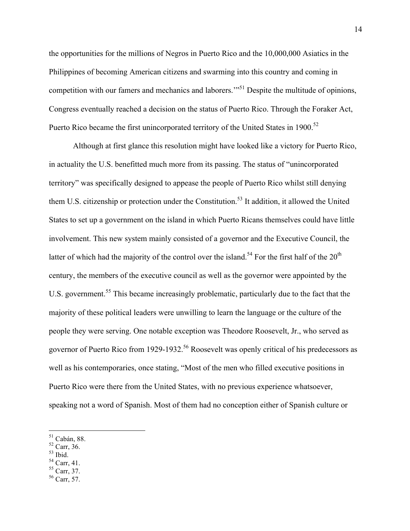the opportunities for the millions of Negros in Puerto Rico and the 10,000,000 Asiatics in the Philippines of becoming American citizens and swarming into this country and coming in competition with our famers and mechanics and laborers."<sup>51</sup> Despite the multitude of opinions, Congress eventually reached a decision on the status of Puerto Rico. Through the Foraker Act, Puerto Rico became the first unincorporated territory of the United States in 1900.<sup>52</sup>

Although at first glance this resolution might have looked like a victory for Puerto Rico, in actuality the U.S. benefitted much more from its passing. The status of "unincorporated territory" was specifically designed to appease the people of Puerto Rico whilst still denying them U.S. citizenship or protection under the Constitution.<sup>53</sup> It addition, it allowed the United States to set up a government on the island in which Puerto Ricans themselves could have little involvement. This new system mainly consisted of a governor and the Executive Council, the latter of which had the majority of the control over the island.<sup>54</sup> For the first half of the  $20<sup>th</sup>$ century, the members of the executive council as well as the governor were appointed by the U.S. government.<sup>55</sup> This became increasingly problematic, particularly due to the fact that the majority of these political leaders were unwilling to learn the language or the culture of the people they were serving. One notable exception was Theodore Roosevelt, Jr., who served as governor of Puerto Rico from 1929-1932.<sup>56</sup> Roosevelt was openly critical of his predecessors as well as his contemporaries, once stating, "Most of the men who filled executive positions in Puerto Rico were there from the United States, with no previous experience whatsoever, speaking not a word of Spanish. Most of them had no conception either of Spanish culture or

- 
- 
- 
- $\frac{55}{56}$  Carr, 37.
- 

 $^{51}_{52}$  Cabán, 88.<br> $^{52}_{53}$  Carr, 36.<br> $^{53}_{54}$  Carr, 41.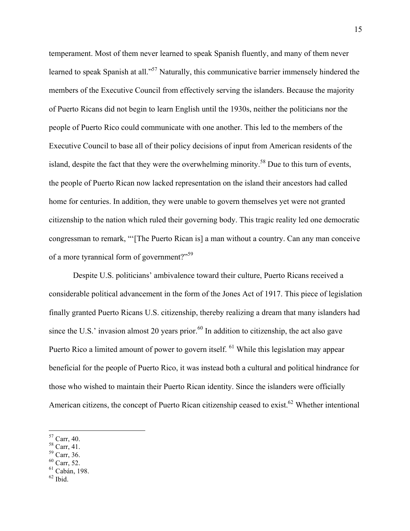temperament. Most of them never learned to speak Spanish fluently, and many of them never learned to speak Spanish at all."<sup>57</sup> Naturally, this communicative barrier immensely hindered the members of the Executive Council from effectively serving the islanders. Because the majority of Puerto Ricans did not begin to learn English until the 1930s, neither the politicians nor the people of Puerto Rico could communicate with one another. This led to the members of the Executive Council to base all of their policy decisions of input from American residents of the island, despite the fact that they were the overwhelming minority.<sup>58</sup> Due to this turn of events, the people of Puerto Rican now lacked representation on the island their ancestors had called home for centuries. In addition, they were unable to govern themselves yet were not granted citizenship to the nation which ruled their governing body. This tragic reality led one democratic congressman to remark, "'[The Puerto Rican is] a man without a country. Can any man conceive of a more tyrannical form of government?"<sup>59</sup>

Despite U.S. politicians' ambivalence toward their culture, Puerto Ricans received a considerable political advancement in the form of the Jones Act of 1917. This piece of legislation finally granted Puerto Ricans U.S. citizenship, thereby realizing a dream that many islanders had since the U.S.' invasion almost 20 years prior.<sup>60</sup> In addition to citizenship, the act also gave Puerto Rico a limited amount of power to govern itself. <sup>61</sup> While this legislation may appear beneficial for the people of Puerto Rico, it was instead both a cultural and political hindrance for those who wished to maintain their Puerto Rican identity. Since the islanders were officially American citizens, the concept of Puerto Rican citizenship ceased to exist.<sup>62</sup> Whether intentional

<sup>59</sup> Carr, 36.

- $61$  Cabán, 198.
- $^{62}$  Ibid.

 $57$  Carr, 40.

<sup>58</sup> Carr, 41.

 $60$  Carr, 52.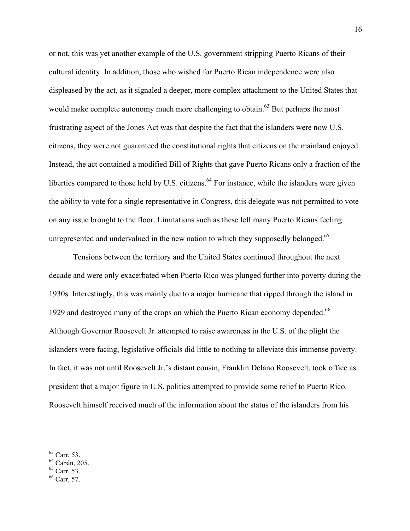or not, this was yet another example of the U.S. government stripping Puerto Ricans of their cultural identity. In addition, those who wished for Puerto Rican independence were also displeased by the act, as it signaled a deeper, more complex attachment to the United States that would make complete autonomy much more challenging to obtain.<sup>63</sup> But perhaps the most frustrating aspect of the Jones Act was that despite the fact that the islanders were now U.S. citizens, they were not guaranteed the constitutional rights that citizens on the mainland enjoyed. Instead, the act contained a modified Bill of Rights that gave Puerto Ricans only a fraction of the liberties compared to those held by U.S. citizens.<sup>64</sup> For instance, while the islanders were given the ability to vote for a single representative in Congress, this delegate was not permitted to vote on any issue brought to the floor. Limitations such as these left many Puerto Ricans feeling unrepresented and undervalued in the new nation to which they supposedly belonged.<sup>65</sup>

Tensions between the territory and the United States continued throughout the next decade and were only exacerbated when Puerto Rico was plunged further into poverty during the 1930s. Interestingly, this was mainly due to a major hurricane that ripped through the island in 1929 and destroyed many of the crops on which the Puerto Rican economy depended.<sup>66</sup> Although Governor Roosevelt Jr. attempted to raise awareness in the U.S. of the plight the islanders were facing, legislative officials did little to nothing to alleviate this immense poverty. In fact, it was not until Roosevelt Jr.'s distant cousin, Franklin Delano Roosevelt, took office as president that a major figure in U.S. politics attempted to provide some relief to Puerto Rico. Roosevelt himself received much of the information about the status of the islanders from his

- <sup>64</sup> Cabán, 205.
- $65$  Carr, 53.
- <sup>66</sup> Carr, 57.

 <sup>63</sup> Carr, 53.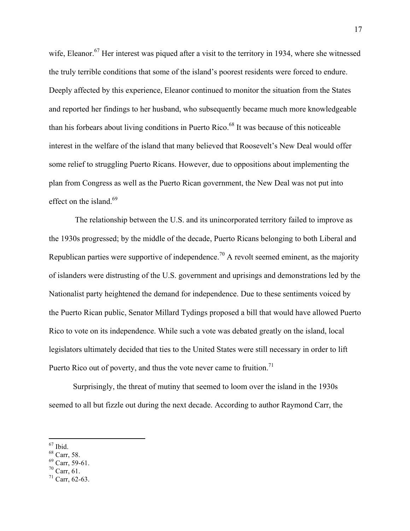wife, Eleanor.<sup>67</sup> Her interest was piqued after a visit to the territory in 1934, where she witnessed the truly terrible conditions that some of the island's poorest residents were forced to endure. Deeply affected by this experience, Eleanor continued to monitor the situation from the States and reported her findings to her husband, who subsequently became much more knowledgeable than his forbears about living conditions in Puerto Rico.<sup>68</sup> It was because of this noticeable interest in the welfare of the island that many believed that Roosevelt's New Deal would offer some relief to struggling Puerto Ricans. However, due to oppositions about implementing the plan from Congress as well as the Puerto Rican government, the New Deal was not put into effect on the island.<sup>69</sup>

The relationship between the U.S. and its unincorporated territory failed to improve as the 1930s progressed; by the middle of the decade, Puerto Ricans belonging to both Liberal and Republican parties were supportive of independence.<sup>70</sup> A revolt seemed eminent, as the majority of islanders were distrusting of the U.S. government and uprisings and demonstrations led by the Nationalist party heightened the demand for independence. Due to these sentiments voiced by the Puerto Rican public, Senator Millard Tydings proposed a bill that would have allowed Puerto Rico to vote on its independence. While such a vote was debated greatly on the island, local legislators ultimately decided that ties to the United States were still necessary in order to lift Puerto Rico out of poverty, and thus the vote never came to fruition.<sup>71</sup>

Surprisingly, the threat of mutiny that seemed to loom over the island in the 1930s seemed to all but fizzle out during the next decade. According to author Raymond Carr, the

- <sup>68</sup> Carr, 58.
- $69$  Carr, 59-61.
- $70$  Carr, 61.

 $67$  Ibid.

 $71$  Carr, 62-63.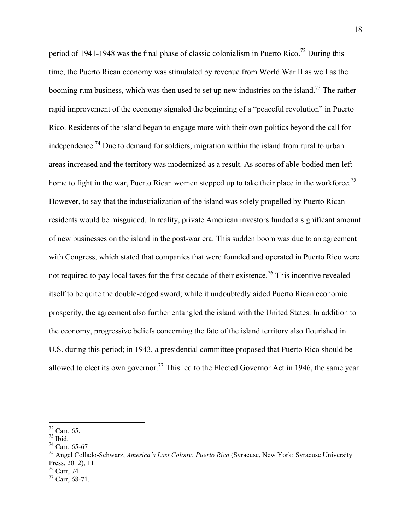period of 1941-1948 was the final phase of classic colonialism in Puerto Rico.<sup>72</sup> During this time, the Puerto Rican economy was stimulated by revenue from World War II as well as the booming rum business, which was then used to set up new industries on the island.<sup>73</sup> The rather rapid improvement of the economy signaled the beginning of a "peaceful revolution" in Puerto Rico. Residents of the island began to engage more with their own politics beyond the call for independence.<sup>74</sup> Due to demand for soldiers, migration within the island from rural to urban areas increased and the territory was modernized as a result. As scores of able-bodied men left home to fight in the war, Puerto Rican women stepped up to take their place in the workforce.<sup>75</sup> However, to say that the industrialization of the island was solely propelled by Puerto Rican residents would be misguided. In reality, private American investors funded a significant amount of new businesses on the island in the post-war era. This sudden boom was due to an agreement with Congress, which stated that companies that were founded and operated in Puerto Rico were not required to pay local taxes for the first decade of their existence.<sup>76</sup> This incentive revealed itself to be quite the double-edged sword; while it undoubtedly aided Puerto Rican economic prosperity, the agreement also further entangled the island with the United States. In addition to the economy, progressive beliefs concerning the fate of the island territory also flourished in U.S. during this period; in 1943, a presidential committee proposed that Puerto Rico should be allowed to elect its own governor.<sup>77</sup> This led to the Elected Governor Act in 1946, the same year

 $72$  Carr, 65.

<sup>73</sup> Ibid.

<sup>74</sup> Carr, 65-67

<sup>75</sup> Ángel Collado-Schwarz, *America's Last Colony: Puerto Rico* (Syracuse, New York: Syracuse University Press, 2012), 11.

 $76$  Carr, 74

 $77$  Carr, 68-71.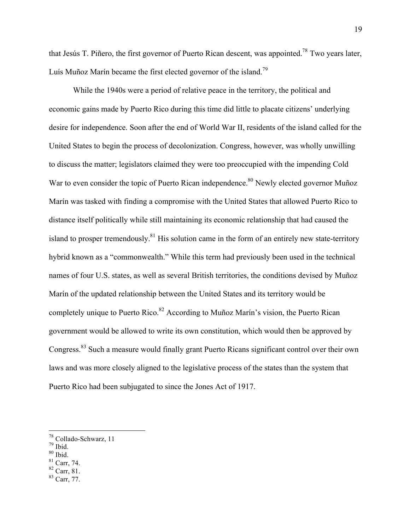that Jesús T. Piñero, the first governor of Puerto Rican descent, was appointed.78 Two years later, Luís Muñoz Marín became the first elected governor of the island.<sup>79</sup>

While the 1940s were a period of relative peace in the territory, the political and economic gains made by Puerto Rico during this time did little to placate citizens' underlying desire for independence. Soon after the end of World War II, residents of the island called for the United States to begin the process of decolonization. Congress, however, was wholly unwilling to discuss the matter; legislators claimed they were too preoccupied with the impending Cold War to even consider the topic of Puerto Rican independence.<sup>80</sup> Newly elected governor Muñoz Marín was tasked with finding a compromise with the United States that allowed Puerto Rico to distance itself politically while still maintaining its economic relationship that had caused the island to prosper tremendously. $81$  His solution came in the form of an entirely new state-territory hybrid known as a "commonwealth." While this term had previously been used in the technical names of four U.S. states, as well as several British territories, the conditions devised by Muñoz Marín of the updated relationship between the United States and its territory would be completely unique to Puerto Rico.<sup>82</sup> According to Muñoz Marín's vision, the Puerto Rican government would be allowed to write its own constitution, which would then be approved by Congress.<sup>83</sup> Such a measure would finally grant Puerto Ricans significant control over their own laws and was more closely aligned to the legislative process of the states than the system that Puerto Rico had been subjugated to since the Jones Act of 1917.

- $79$  Ibid.
- $80$  Ibid.
- $81$  Carr, 74.
- $82$  Carr, 81.
- <sup>83</sup> Carr, 77.

 <sup>78</sup> Collado-Schwarz, 11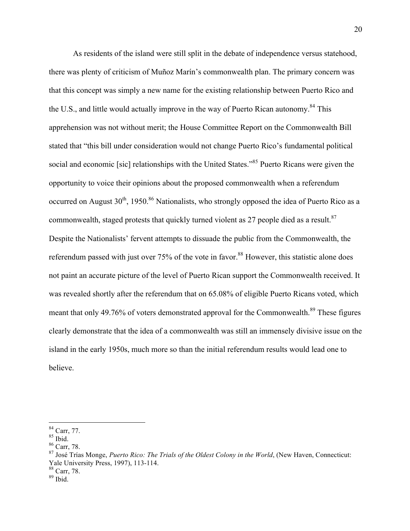As residents of the island were still split in the debate of independence versus statehood, there was plenty of criticism of Muñoz Marín's commonwealth plan. The primary concern was that this concept was simply a new name for the existing relationship between Puerto Rico and the U.S., and little would actually improve in the way of Puerto Rican autonomy.<sup>84</sup> This apprehension was not without merit; the House Committee Report on the Commonwealth Bill stated that "this bill under consideration would not change Puerto Rico's fundamental political social and economic [sic] relationships with the United States."<sup>85</sup> Puerto Ricans were given the opportunity to voice their opinions about the proposed commonwealth when a referendum occurred on August  $30<sup>th</sup>$ , 1950.<sup>86</sup> Nationalists, who strongly opposed the idea of Puerto Rico as a commonwealth, staged protests that quickly turned violent as 27 people died as a result.<sup>87</sup> Despite the Nationalists' fervent attempts to dissuade the public from the Commonwealth, the referendum passed with just over 75% of the vote in favor.<sup>88</sup> However, this statistic alone does not paint an accurate picture of the level of Puerto Rican support the Commonwealth received. It was revealed shortly after the referendum that on 65.08% of eligible Puerto Ricans voted, which meant that only 49.76% of voters demonstrated approval for the Commonwealth.<sup>89</sup> These figures clearly demonstrate that the idea of a commonwealth was still an immensely divisive issue on the island in the early 1950s, much more so than the initial referendum results would lead one to believe.

 <sup>84</sup> Carr, 77.

 $^{85}$  Ibid.

<sup>86</sup> Carr, 78.

<sup>87</sup> José Trías Monge, *Puerto Rico: The Trials of the Oldest Colony in the World*, (New Haven, Connecticut: Yale University Press, 1997), 113-114.

<sup>88</sup> Carr, 78.

<sup>89</sup> Ibid.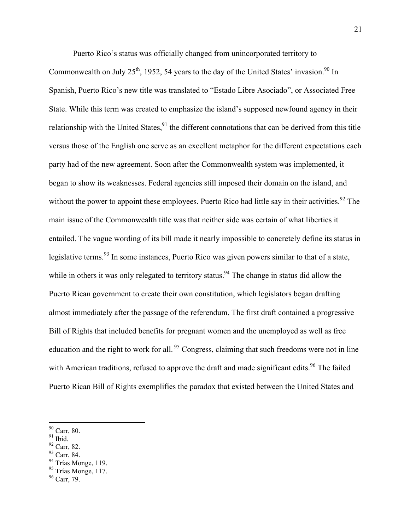Puerto Rico's status was officially changed from unincorporated territory to

Commonwealth on July 25<sup>th</sup>, 1952, 54 years to the day of the United States' invasion.<sup>90</sup> In Spanish, Puerto Rico's new title was translated to "Estado Libre Asociado", or Associated Free State. While this term was created to emphasize the island's supposed newfound agency in their relationship with the United States,  $91$  the different connotations that can be derived from this title versus those of the English one serve as an excellent metaphor for the different expectations each party had of the new agreement. Soon after the Commonwealth system was implemented, it began to show its weaknesses. Federal agencies still imposed their domain on the island, and without the power to appoint these employees. Puerto Rico had little say in their activities.<sup>92</sup> The main issue of the Commonwealth title was that neither side was certain of what liberties it entailed. The vague wording of its bill made it nearly impossible to concretely define its status in legislative terms.<sup>93</sup> In some instances, Puerto Rico was given powers similar to that of a state, while in others it was only relegated to territory status.<sup>94</sup> The change in status did allow the Puerto Rican government to create their own constitution, which legislators began drafting almost immediately after the passage of the referendum. The first draft contained a progressive Bill of Rights that included benefits for pregnant women and the unemployed as well as free education and the right to work for all.  $95$  Congress, claiming that such freedoms were not in line with American traditions, refused to approve the draft and made significant edits.<sup>96</sup> The failed Puerto Rican Bill of Rights exemplifies the paradox that existed between the United States and

 <sup>90</sup> Carr, 80.

 $^{91}$  Ibid.

<sup>92</sup> Carr, 82.

<sup>93</sup> Carr, 84.

<sup>&</sup>lt;sup>94</sup> Trías Monge, 119.

<sup>&</sup>lt;sup>95</sup> Trías Monge, 117.

<sup>96</sup> Carr, 79.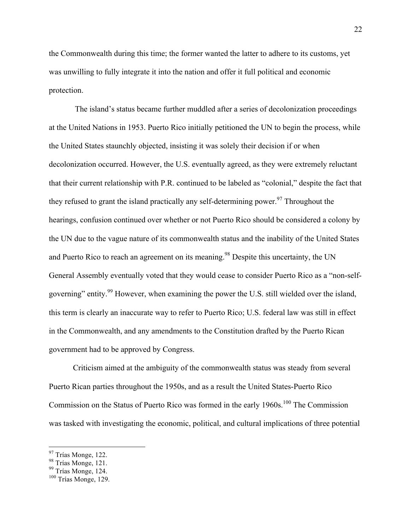the Commonwealth during this time; the former wanted the latter to adhere to its customs, yet was unwilling to fully integrate it into the nation and offer it full political and economic protection.

The island's status became further muddled after a series of decolonization proceedings at the United Nations in 1953. Puerto Rico initially petitioned the UN to begin the process, while the United States staunchly objected, insisting it was solely their decision if or when decolonization occurred. However, the U.S. eventually agreed, as they were extremely reluctant that their current relationship with P.R. continued to be labeled as "colonial," despite the fact that they refused to grant the island practically any self-determining power.<sup>97</sup> Throughout the hearings, confusion continued over whether or not Puerto Rico should be considered a colony by the UN due to the vague nature of its commonwealth status and the inability of the United States and Puerto Rico to reach an agreement on its meaning.<sup>98</sup> Despite this uncertainty, the UN General Assembly eventually voted that they would cease to consider Puerto Rico as a "non-selfgoverning" entity.<sup>99</sup> However, when examining the power the U.S. still wielded over the island, this term is clearly an inaccurate way to refer to Puerto Rico; U.S. federal law was still in effect in the Commonwealth, and any amendments to the Constitution drafted by the Puerto Rican government had to be approved by Congress.

Criticism aimed at the ambiguity of the commonwealth status was steady from several Puerto Rican parties throughout the 1950s, and as a result the United States-Puerto Rico Commission on the Status of Puerto Rico was formed in the early  $1960s$ .<sup>100</sup> The Commission was tasked with investigating the economic, political, and cultural implications of three potential

<sup>97</sup> Trías Monge, 122.

<sup>98</sup> Trías Monge, 121.

<sup>&</sup>lt;sup>99</sup> Trías Monge, 124.

<sup>100</sup> Trías Monge, 129.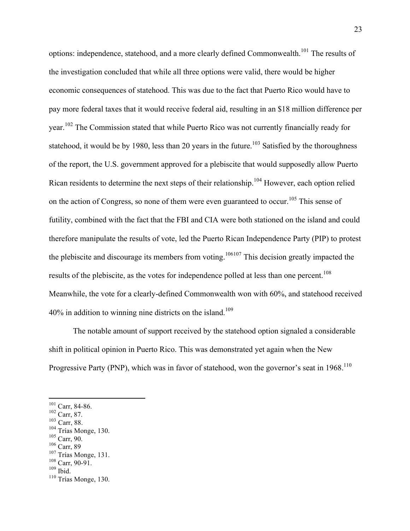options: independence, statehood, and a more clearly defined Commonwealth.<sup>101</sup> The results of the investigation concluded that while all three options were valid, there would be higher economic consequences of statehood. This was due to the fact that Puerto Rico would have to pay more federal taxes that it would receive federal aid, resulting in an \$18 million difference per year.<sup>102</sup> The Commission stated that while Puerto Rico was not currently financially ready for statehood, it would be by 1980, less than 20 years in the future.<sup>103</sup> Satisfied by the thoroughness of the report, the U.S. government approved for a plebiscite that would supposedly allow Puerto Rican residents to determine the next steps of their relationship.<sup>104</sup> However, each option relied on the action of Congress, so none of them were even guaranteed to occur.<sup>105</sup> This sense of futility, combined with the fact that the FBI and CIA were both stationed on the island and could therefore manipulate the results of vote, led the Puerto Rican Independence Party (PIP) to protest the plebiscite and discourage its members from voting.<sup>106107</sup> This decision greatly impacted the results of the plebiscite, as the votes for independence polled at less than one percent.<sup>108</sup> Meanwhile, the vote for a clearly-defined Commonwealth won with 60%, and statehood received  $40\%$  in addition to winning nine districts on the island.<sup>109</sup>

The notable amount of support received by the statehood option signaled a considerable shift in political opinion in Puerto Rico. This was demonstrated yet again when the New Progressive Party (PNP), which was in favor of statehood, won the governor's seat in  $1968$ <sup>110</sup>

- $102$  Carr, 87.
- $103$  Carr, 88.

- $105$  Carr, 90.
- <sup>106</sup> Carr, 89

 <sup>101</sup> Carr, 84-86.

 $104$  Trías Monge, 130.

<sup>107</sup> Trías Monge, 131.  $108$  Carr, 90-91.

 $109$  Ibid.

<sup>110</sup> Trías Monge, 130.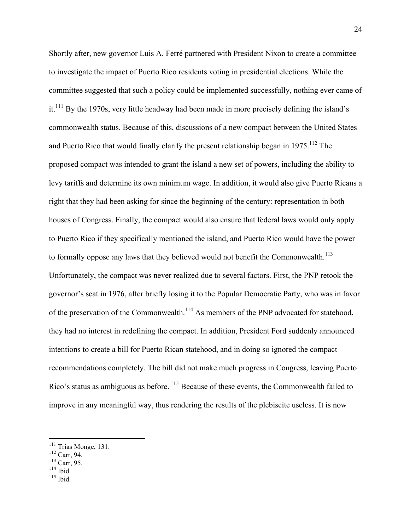Shortly after, new governor Luis A. Ferré partnered with President Nixon to create a committee to investigate the impact of Puerto Rico residents voting in presidential elections. While the committee suggested that such a policy could be implemented successfully, nothing ever came of  $it<sup>111</sup>$  By the 1970s, very little headway had been made in more precisely defining the island's commonwealth status. Because of this, discussions of a new compact between the United States and Puerto Rico that would finally clarify the present relationship began in  $1975$ <sup>112</sup>. The proposed compact was intended to grant the island a new set of powers, including the ability to levy tariffs and determine its own minimum wage. In addition, it would also give Puerto Ricans a right that they had been asking for since the beginning of the century: representation in both houses of Congress. Finally, the compact would also ensure that federal laws would only apply to Puerto Rico if they specifically mentioned the island, and Puerto Rico would have the power to formally oppose any laws that they believed would not benefit the Commonwealth.<sup>113</sup> Unfortunately, the compact was never realized due to several factors. First, the PNP retook the governor's seat in 1976, after briefly losing it to the Popular Democratic Party, who was in favor of the preservation of the Commonwealth.<sup>114</sup> As members of the PNP advocated for statehood, they had no interest in redefining the compact. In addition, President Ford suddenly announced intentions to create a bill for Puerto Rican statehood, and in doing so ignored the compact recommendations completely. The bill did not make much progress in Congress, leaving Puerto Rico's status as ambiguous as before. <sup>115</sup> Because of these events, the Commonwealth failed to improve in any meaningful way, thus rendering the results of the plebiscite useless. It is now

 $114$  Ibid.

<sup>&</sup>lt;sup>111</sup> Trías Monge, 131.

<sup>112</sup> Carr, 94.

<sup>113</sup> Carr, 95.

 $115$  Ibid.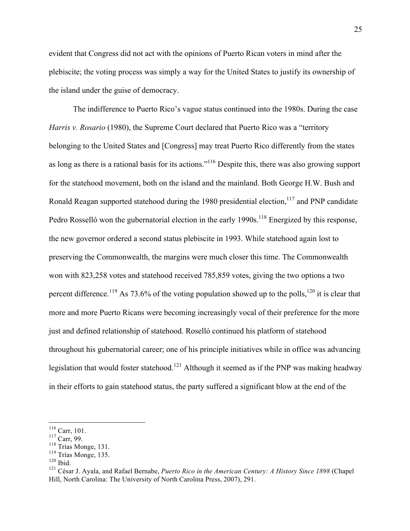evident that Congress did not act with the opinions of Puerto Rican voters in mind after the plebiscite; the voting process was simply a way for the United States to justify its ownership of the island under the guise of democracy.

The indifference to Puerto Rico's vague status continued into the 1980s. During the case *Harris v. Rosario* (1980), the Supreme Court declared that Puerto Rico was a "territory" belonging to the United States and [Congress] may treat Puerto Rico differently from the states as long as there is a rational basis for its actions."116 Despite this, there was also growing support for the statehood movement, both on the island and the mainland. Both George H.W. Bush and Ronald Reagan supported statehood during the 1980 presidential election,  $117$  and PNP candidate Pedro Rosselló won the gubernatorial election in the early 1990s.<sup>118</sup> Energized by this response, the new governor ordered a second status plebiscite in 1993. While statehood again lost to preserving the Commonwealth, the margins were much closer this time. The Commonwealth won with 823,258 votes and statehood received 785,859 votes, giving the two options a two percent difference.<sup>119</sup> As 73.6% of the voting population showed up to the polls,<sup>120</sup> it is clear that more and more Puerto Ricans were becoming increasingly vocal of their preference for the more just and defined relationship of statehood. Roselló continued his platform of statehood throughout his gubernatorial career; one of his principle initiatives while in office was advancing legislation that would foster statehood.<sup>121</sup> Although it seemed as if the PNP was making headway in their efforts to gain statehood status, the party suffered a significant blow at the end of the

 <sup>116</sup> Carr, 101.

<sup>117</sup> Carr, 99.

<sup>&</sup>lt;sup>118</sup> Trías Monge, 131.

<sup>119</sup> Trías Monge, 135.

 $120$  Ibid.

<sup>121</sup> César J. Ayala, and Rafael Bernabe, *Puerto Rico in the American Century: A History Since 1898* (Chapel Hill, North Carolina: The University of North Carolina Press, 2007), 291.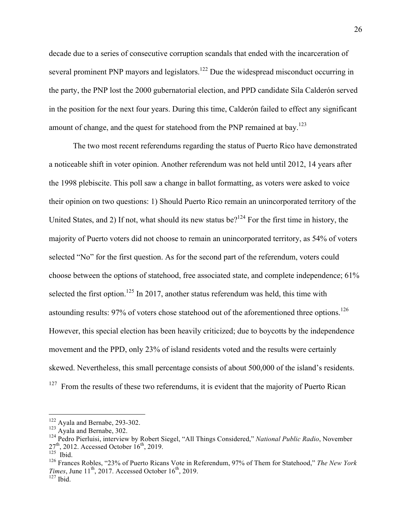decade due to a series of consecutive corruption scandals that ended with the incarceration of several prominent PNP mayors and legislators.<sup>122</sup> Due the widespread misconduct occurring in the party, the PNP lost the 2000 gubernatorial election, and PPD candidate Sila Calderón served in the position for the next four years. During this time, Calderón failed to effect any significant amount of change, and the quest for statehood from the PNP remained at bay.<sup>123</sup>

The two most recent referendums regarding the status of Puerto Rico have demonstrated a noticeable shift in voter opinion. Another referendum was not held until 2012, 14 years after the 1998 plebiscite. This poll saw a change in ballot formatting, as voters were asked to voice their opinion on two questions: 1) Should Puerto Rico remain an unincorporated territory of the United States, and 2) If not, what should its new status be?<sup>124</sup> For the first time in history, the majority of Puerto voters did not choose to remain an unincorporated territory, as 54% of voters selected "No" for the first question. As for the second part of the referendum, voters could choose between the options of statehood, free associated state, and complete independence; 61% selected the first option.<sup>125</sup> In 2017, another status referendum was held, this time with astounding results: 97% of voters chose statehood out of the aforementioned three options.<sup>126</sup> However, this special election has been heavily criticized; due to boycotts by the independence movement and the PPD, only 23% of island residents voted and the results were certainly skewed. Nevertheless, this small percentage consists of about 500,000 of the island's residents.  $127$  From the results of these two referendums, it is evident that the majority of Puerto Rican

 <sup>122</sup> Ayala and Bernabe, 293-302.

<sup>&</sup>lt;sup>123</sup> Ayala and Bernabe, 302.

<sup>124</sup> Pedro Pierluisi, interview by Robert Siegel, "All Things Considered," *National Public Radio*, November  $27<sup>th</sup>$ , 2012. Accessed October 16<sup>th</sup>, 2019.

 $125$  Ibid.

<sup>126</sup> Frances Robles, "23% of Puerto Ricans Vote in Referendum, 97% of Them for Statehood," *The New York Times*, June  $11^{th}$ , 2017. Accessed October  $16^{th}$ , 2019.  $127$  Ibid.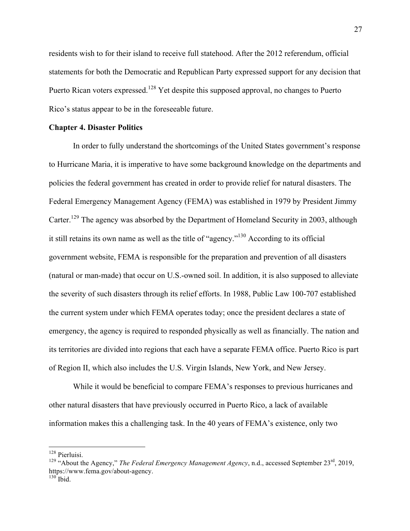residents wish to for their island to receive full statehood. After the 2012 referendum, official statements for both the Democratic and Republican Party expressed support for any decision that Puerto Rican voters expressed.<sup>128</sup> Yet despite this supposed approval, no changes to Puerto Rico's status appear to be in the foreseeable future.

#### **Chapter 4. Disaster Politics**

In order to fully understand the shortcomings of the United States government's response to Hurricane Maria, it is imperative to have some background knowledge on the departments and policies the federal government has created in order to provide relief for natural disasters. The Federal Emergency Management Agency (FEMA) was established in 1979 by President Jimmy Carter.<sup>129</sup> The agency was absorbed by the Department of Homeland Security in 2003, although it still retains its own name as well as the title of "agency."<sup>130</sup> According to its official government website, FEMA is responsible for the preparation and prevention of all disasters (natural or man-made) that occur on U.S.-owned soil. In addition, it is also supposed to alleviate the severity of such disasters through its relief efforts. In 1988, Public Law 100-707 established the current system under which FEMA operates today; once the president declares a state of emergency, the agency is required to responded physically as well as financially. The nation and its territories are divided into regions that each have a separate FEMA office. Puerto Rico is part of Region II, which also includes the U.S. Virgin Islands, New York, and New Jersey.

While it would be beneficial to compare FEMA's responses to previous hurricanes and other natural disasters that have previously occurred in Puerto Rico, a lack of available information makes this a challenging task. In the 40 years of FEMA's existence, only two

 <sup>128</sup> Pierluisi.

<sup>&</sup>lt;sup>129</sup> "About the Agency," *The Federal Emergency Management Agency*, n.d., accessed September 23<sup>rd</sup>, 2019, https://www.fema.gov/about-agency.

 $^{130}$  Ibid.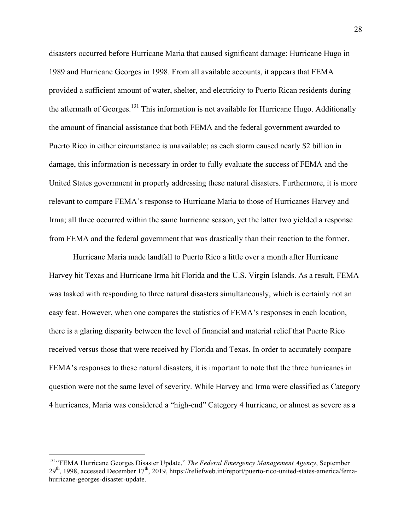disasters occurred before Hurricane Maria that caused significant damage: Hurricane Hugo in 1989 and Hurricane Georges in 1998. From all available accounts, it appears that FEMA provided a sufficient amount of water, shelter, and electricity to Puerto Rican residents during the aftermath of Georges.<sup>131</sup> This information is not available for Hurricane Hugo. Additionally the amount of financial assistance that both FEMA and the federal government awarded to Puerto Rico in either circumstance is unavailable; as each storm caused nearly \$2 billion in damage, this information is necessary in order to fully evaluate the success of FEMA and the United States government in properly addressing these natural disasters. Furthermore, it is more relevant to compare FEMA's response to Hurricane Maria to those of Hurricanes Harvey and Irma; all three occurred within the same hurricane season, yet the latter two yielded a response from FEMA and the federal government that was drastically than their reaction to the former.

Hurricane Maria made landfall to Puerto Rico a little over a month after Hurricane Harvey hit Texas and Hurricane Irma hit Florida and the U.S. Virgin Islands. As a result, FEMA was tasked with responding to three natural disasters simultaneously, which is certainly not an easy feat. However, when one compares the statistics of FEMA's responses in each location, there is a glaring disparity between the level of financial and material relief that Puerto Rico received versus those that were received by Florida and Texas. In order to accurately compare FEMA's responses to these natural disasters, it is important to note that the three hurricanes in question were not the same level of severity. While Harvey and Irma were classified as Category 4 hurricanes, Maria was considered a "high-end" Category 4 hurricane, or almost as severe as a

<sup>131&</sup>lt;sup>a</sup>FEMA Hurricane Georges Disaster Update," The Federal Emergency Management Agency, September 29<sup>th</sup>, 1998, accessed December 17<sup>th</sup>, 2019, https://reliefweb.int/report/puerto-rico-united-states-america/femahurricane-georges-disaster-update.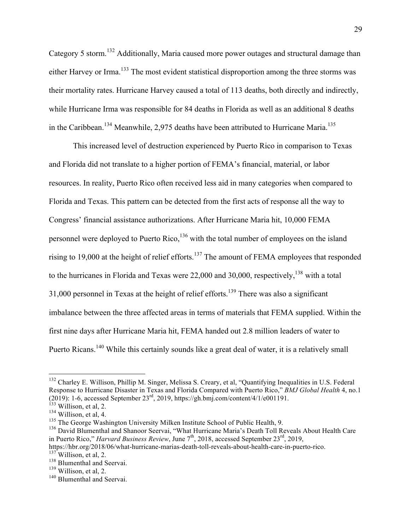Category 5 storm.<sup>132</sup> Additionally, Maria caused more power outages and structural damage than either Harvey or Irma.<sup>133</sup> The most evident statistical disproportion among the three storms was their mortality rates. Hurricane Harvey caused a total of 113 deaths, both directly and indirectly, while Hurricane Irma was responsible for 84 deaths in Florida as well as an additional 8 deaths in the Caribbean.<sup>134</sup> Meanwhile, 2,975 deaths have been attributed to Hurricane Maria.<sup>135</sup>

This increased level of destruction experienced by Puerto Rico in comparison to Texas and Florida did not translate to a higher portion of FEMA's financial, material, or labor resources. In reality, Puerto Rico often received less aid in many categories when compared to Florida and Texas. This pattern can be detected from the first acts of response all the way to Congress' financial assistance authorizations. After Hurricane Maria hit, 10,000 FEMA personnel were deployed to Puerto Rico,  $136$  with the total number of employees on the island rising to 19,000 at the height of relief efforts.<sup>137</sup> The amount of FEMA employees that responded to the hurricanes in Florida and Texas were  $22,000$  and  $30,000$ , respectively,  $^{138}$  with a total 31,000 personnel in Texas at the height of relief efforts.<sup>139</sup> There was also a significant imbalance between the three affected areas in terms of materials that FEMA supplied. Within the first nine days after Hurricane Maria hit, FEMA handed out 2.8 million leaders of water to Puerto Ricans.<sup>140</sup> While this certainly sounds like a great deal of water, it is a relatively small

<sup>&</sup>lt;sup>132</sup> Charley E. Willison, Phillip M. Singer, Melissa S. Creary, et al, "Quantifying Inequalities in U.S. Federal Response to Hurricane Disaster in Texas and Florida Compared with Puerto Rico," *BMJ Global Health* 4, no.1 (2019): 1-6, accessed September 23<sup>rd</sup>, 2019, https://gh.bmj.com/content/4/1/e001191.<br><sup>133</sup> Willison, et al, 2.

 $134$  Willison, et al, 4.

 $135$  The George Washington University Milken Institute School of Public Health, 9.

<sup>&</sup>lt;sup>136</sup> David Blumenthal and Shanoor Seervai, "What Hurricane Maria's Death Toll Reveals About Health Care in Puerto Rico," *Harvard Business Review*, June 7<sup>th</sup>, 2018, accessed September 23<sup>rd</sup>, 2019,

https://hbr.org/2018/06/what-hurricane-marias-death-toll-reveals-about-health-care-in-puerto-rico.

 $137$  Willison, et al, 2.

<sup>&</sup>lt;sup>138</sup> Blumenthal and Seervai.

<sup>139</sup> Willison, et al, 2.

<sup>&</sup>lt;sup>140</sup> Blumenthal and Seervai.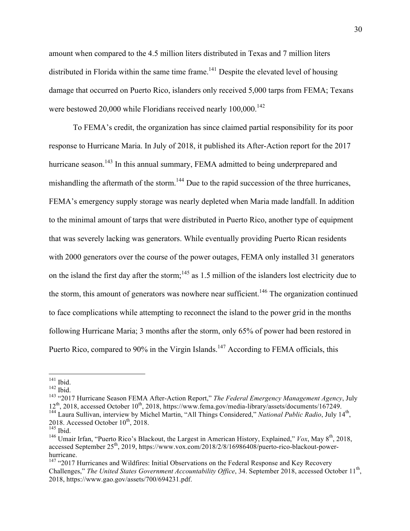amount when compared to the 4.5 million liters distributed in Texas and 7 million liters distributed in Florida within the same time frame.<sup>141</sup> Despite the elevated level of housing damage that occurred on Puerto Rico, islanders only received 5,000 tarps from FEMA; Texans were bestowed 20,000 while Floridians received nearly  $100,000$ .<sup>142</sup>

To FEMA's credit, the organization has since claimed partial responsibility for its poor response to Hurricane Maria. In July of 2018, it published its After-Action report for the 2017 hurricane season.<sup>143</sup> In this annual summary, FEMA admitted to being underprepared and mishandling the aftermath of the storm.<sup>144</sup> Due to the rapid succession of the three hurricanes, FEMA's emergency supply storage was nearly depleted when Maria made landfall. In addition to the minimal amount of tarps that were distributed in Puerto Rico, another type of equipment that was severely lacking was generators. While eventually providing Puerto Rican residents with 2000 generators over the course of the power outages, FEMA only installed 31 generators on the island the first day after the storm;<sup>145</sup> as 1.5 million of the islanders lost electricity due to the storm, this amount of generators was nowhere near sufficient.<sup>146</sup> The organization continued to face complications while attempting to reconnect the island to the power grid in the months following Hurricane Maria; 3 months after the storm, only 65% of power had been restored in Puerto Rico, compared to 90% in the Virgin Islands.<sup>147</sup> According to FEMA officials, this

 $^{141}$  Ibid.

 $142$  Ibid.

<sup>143</sup> "2017 Hurricane Season FEMA After-Action Report," *The Federal Emergency Management Agency*, July 12<sup>th</sup>, 2018, accessed October 10<sup>th</sup>, 2018, https://www.fema.gov/media-library/assets/documents/167249. <sup>144</sup> Laura Sullivan, interview by Michel Martin, "All Things Considered," *National Public Radio*, July 14th,

<sup>2018.</sup> Accessed October  $10^{th}$ , 2018.  $145$  Ibid.

<sup>&</sup>lt;sup>146</sup> Umair Irfan, "Puerto Rico's Blackout, the Largest in American History, Explained," *Vox*, May  $8<sup>th</sup>$ , 2018, accessed September 25<sup>th</sup>, 2019, https://www.vox.com/2018/2/8/16986408/puerto-rico-blackout-powerhurricane.

 $147$  "2017 Hurricanes and Wildfires: Initial Observations on the Federal Response and Key Recovery Challenges," The United States Government Accountability Office, 34. September 2018, accessed October 11<sup>th</sup>, 2018, https://www.gao.gov/assets/700/694231.pdf.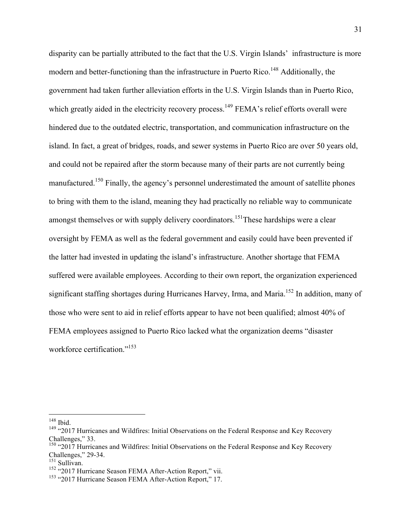disparity can be partially attributed to the fact that the U.S. Virgin Islands' infrastructure is more modern and better-functioning than the infrastructure in Puerto Rico.<sup>148</sup> Additionally, the government had taken further alleviation efforts in the U.S. Virgin Islands than in Puerto Rico, which greatly aided in the electricity recovery process.<sup>149</sup> FEMA's relief efforts overall were hindered due to the outdated electric, transportation, and communication infrastructure on the island. In fact, a great of bridges, roads, and sewer systems in Puerto Rico are over 50 years old, and could not be repaired after the storm because many of their parts are not currently being manufactured.<sup>150</sup> Finally, the agency's personnel underestimated the amount of satellite phones to bring with them to the island, meaning they had practically no reliable way to communicate amongst themselves or with supply delivery coordinators.<sup>151</sup>These hardships were a clear oversight by FEMA as well as the federal government and easily could have been prevented if the latter had invested in updating the island's infrastructure. Another shortage that FEMA suffered were available employees. According to their own report, the organization experienced significant staffing shortages during Hurricanes Harvey, Irma, and Maria.<sup>152</sup> In addition, many of those who were sent to aid in relief efforts appear to have not been qualified; almost 40% of FEMA employees assigned to Puerto Rico lacked what the organization deems "disaster workforce certification." 153

 <sup>148</sup> Ibid.

<sup>&</sup>lt;sup>149</sup> "2017 Hurricanes and Wildfires: Initial Observations on the Federal Response and Key Recovery Challenges," 33.

<sup>&</sup>lt;sup>150</sup> "2017 Hurricanes and Wildfires: Initial Observations on the Federal Response and Key Recovery Challenges," 29-34.<br><sup>151</sup> Sullivan.

<sup>&</sup>lt;sup>152</sup> "2017 Hurricane Season FEMA After-Action Report," vii.

<sup>&</sup>lt;sup>153</sup> "2017 Hurricane Season FEMA After-Action Report," 17.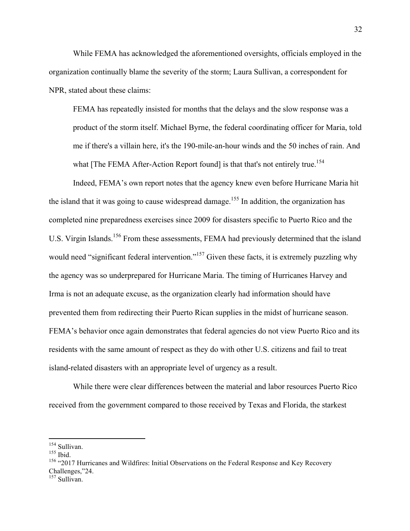While FEMA has acknowledged the aforementioned oversights, officials employed in the organization continually blame the severity of the storm; Laura Sullivan, a correspondent for NPR, stated about these claims:

FEMA has repeatedly insisted for months that the delays and the slow response was a product of the storm itself. Michael Byrne, the federal coordinating officer for Maria, told me if there's a villain here, it's the 190-mile-an-hour winds and the 50 inches of rain. And what [The FEMA After-Action Report found] is that that's not entirely true.<sup>154</sup>

Indeed, FEMA's own report notes that the agency knew even before Hurricane Maria hit the island that it was going to cause widespread damage.<sup>155</sup> In addition, the organization has completed nine preparedness exercises since 2009 for disasters specific to Puerto Rico and the U.S. Virgin Islands.<sup>156</sup> From these assessments, FEMA had previously determined that the island would need "significant federal intervention."<sup>157</sup> Given these facts, it is extremely puzzling why the agency was so underprepared for Hurricane Maria. The timing of Hurricanes Harvey and Irma is not an adequate excuse, as the organization clearly had information should have prevented them from redirecting their Puerto Rican supplies in the midst of hurricane season. FEMA's behavior once again demonstrates that federal agencies do not view Puerto Rico and its residents with the same amount of respect as they do with other U.S. citizens and fail to treat island-related disasters with an appropriate level of urgency as a result.

While there were clear differences between the material and labor resources Puerto Rico received from the government compared to those received by Texas and Florida, the starkest

 $154$  Sullivan.<br> $155$  Ibid.

<sup>&</sup>lt;sup>156</sup> "2017 Hurricanes and Wildfires: Initial Observations on the Federal Response and Key Recovery Challenges,"24.

<sup>&</sup>lt;sup>157</sup> Sullivan.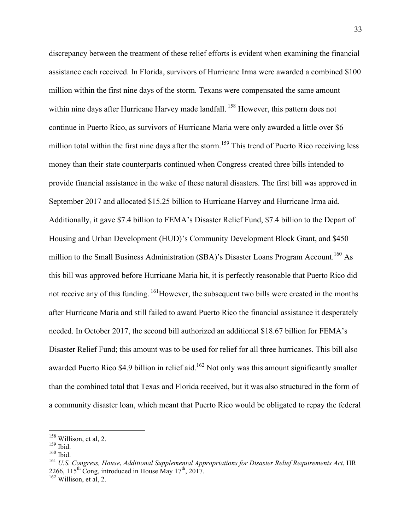discrepancy between the treatment of these relief efforts is evident when examining the financial assistance each received. In Florida, survivors of Hurricane Irma were awarded a combined \$100 million within the first nine days of the storm. Texans were compensated the same amount within nine days after Hurricane Harvey made landfall. <sup>158</sup> However, this pattern does not continue in Puerto Rico, as survivors of Hurricane Maria were only awarded a little over \$6 million total within the first nine days after the storm.<sup>159</sup> This trend of Puerto Rico receiving less money than their state counterparts continued when Congress created three bills intended to provide financial assistance in the wake of these natural disasters. The first bill was approved in September 2017 and allocated \$15.25 billion to Hurricane Harvey and Hurricane Irma aid. Additionally, it gave \$7.4 billion to FEMA's Disaster Relief Fund, \$7.4 billion to the Depart of Housing and Urban Development (HUD)'s Community Development Block Grant, and \$450 million to the Small Business Administration (SBA)'s Disaster Loans Program Account.<sup>160</sup> As this bill was approved before Hurricane Maria hit, it is perfectly reasonable that Puerto Rico did not receive any of this funding. <sup>161</sup>However, the subsequent two bills were created in the months after Hurricane Maria and still failed to award Puerto Rico the financial assistance it desperately needed. In October 2017, the second bill authorized an additional \$18.67 billion for FEMA's Disaster Relief Fund; this amount was to be used for relief for all three hurricanes. This bill also awarded Puerto Rico \$4.9 billion in relief aid.<sup>162</sup> Not only was this amount significantly smaller than the combined total that Texas and Florida received, but it was also structured in the form of a community disaster loan, which meant that Puerto Rico would be obligated to repay the federal

 <sup>158</sup> Willison, et al, 2.

<sup>159</sup> Ibid.

 $160$  Ibid.

<sup>161</sup> *U.S. Congress, House*, *Additional Supplemental Appropriations for Disaster Relief Requirements Act*, HR 2266, 115<sup>th</sup> Cong, introduced in House May  $17^{th}$ , 2017.

 $162$  Willison, et al, 2.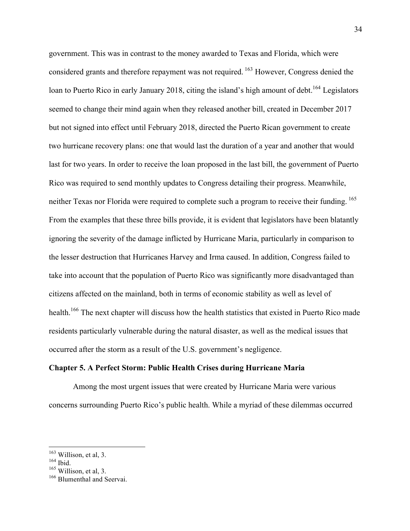government. This was in contrast to the money awarded to Texas and Florida, which were considered grants and therefore repayment was not required. <sup>163</sup> However, Congress denied the loan to Puerto Rico in early January 2018, citing the island's high amount of debt.<sup>164</sup> Legislators seemed to change their mind again when they released another bill, created in December 2017 but not signed into effect until February 2018, directed the Puerto Rican government to create two hurricane recovery plans: one that would last the duration of a year and another that would last for two years. In order to receive the loan proposed in the last bill, the government of Puerto Rico was required to send monthly updates to Congress detailing their progress. Meanwhile, neither Texas nor Florida were required to complete such a program to receive their funding.<sup>165</sup> From the examples that these three bills provide, it is evident that legislators have been blatantly ignoring the severity of the damage inflicted by Hurricane Maria, particularly in comparison to the lesser destruction that Hurricanes Harvey and Irma caused. In addition, Congress failed to take into account that the population of Puerto Rico was significantly more disadvantaged than citizens affected on the mainland, both in terms of economic stability as well as level of health.<sup>166</sup> The next chapter will discuss how the health statistics that existed in Puerto Rico made residents particularly vulnerable during the natural disaster, as well as the medical issues that occurred after the storm as a result of the U.S. government's negligence.

#### **Chapter 5. A Perfect Storm: Public Health Crises during Hurricane Maria**

Among the most urgent issues that were created by Hurricane Maria were various concerns surrounding Puerto Rico's public health. While a myriad of these dilemmas occurred

<sup>&</sup>lt;sup>163</sup> Willison, et al, 3.

 $164$  Ibid.

 $165$  Willison, et al, 3.

<sup>&</sup>lt;sup>166</sup> Blumenthal and Seervai.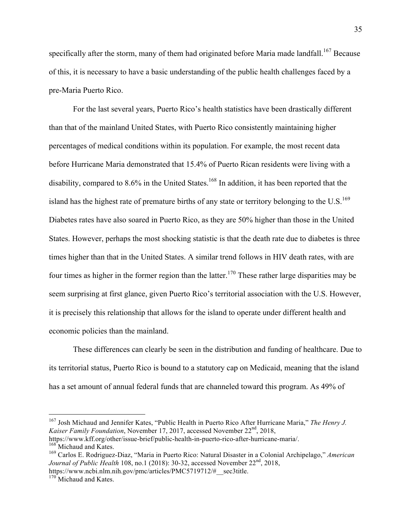specifically after the storm, many of them had originated before Maria made landfall.<sup>167</sup> Because of this, it is necessary to have a basic understanding of the public health challenges faced by a pre-Maria Puerto Rico.

For the last several years, Puerto Rico's health statistics have been drastically different than that of the mainland United States, with Puerto Rico consistently maintaining higher percentages of medical conditions within its population. For example, the most recent data before Hurricane Maria demonstrated that 15.4% of Puerto Rican residents were living with a disability, compared to  $8.6\%$  in the United States.<sup>168</sup> In addition, it has been reported that the island has the highest rate of premature births of any state or territory belonging to the U.S.<sup>169</sup> Diabetes rates have also soared in Puerto Rico, as they are 50% higher than those in the United States. However, perhaps the most shocking statistic is that the death rate due to diabetes is three times higher than that in the United States. A similar trend follows in HIV death rates, with are four times as higher in the former region than the latter.<sup>170</sup> These rather large disparities may be seem surprising at first glance, given Puerto Rico's territorial association with the U.S. However, it is precisely this relationship that allows for the island to operate under different health and economic policies than the mainland.

These differences can clearly be seen in the distribution and funding of healthcare. Due to its territorial status, Puerto Rico is bound to a statutory cap on Medicaid, meaning that the island has a set amount of annual federal funds that are channeled toward this program. As 49% of

 <sup>167</sup> Josh Michaud and Jennifer Kates, "Public Health in Puerto Rico After Hurricane Maria," *The Henry J. Kaiser Family Foundation*, November 17, 2017, accessed November 22<sup>nd</sup>, 2018, https://www.kff.org/other/issue-brief/public-health-in-puerto-rico-after-hurricane-maria/.

<sup>&</sup>lt;sup>168</sup> Michaud and Kates.

<sup>169</sup> Carlos E. Rodriguez-Diaz, "Maria in Puerto Rico: Natural Disaster in a Colonial Archipelago," *American Journal of Public Health* 108, no.1 (2018): 30-32, accessed November 22<sup>nd</sup>, 2018, https://www.ncbi.nlm.nih.gov/pmc/articles/PMC5719712/#\_\_sec3title.

 $170$  Michaud and Kates.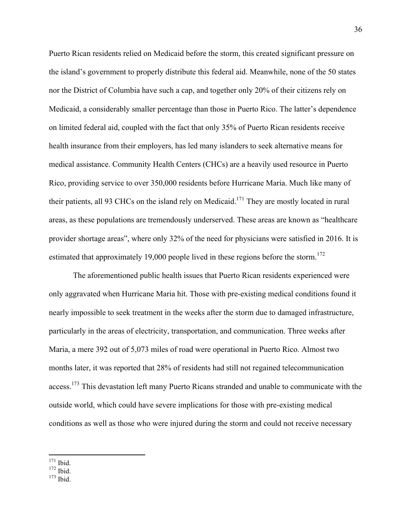Puerto Rican residents relied on Medicaid before the storm, this created significant pressure on the island's government to properly distribute this federal aid. Meanwhile, none of the 50 states nor the District of Columbia have such a cap, and together only 20% of their citizens rely on Medicaid, a considerably smaller percentage than those in Puerto Rico. The latter's dependence on limited federal aid, coupled with the fact that only 35% of Puerto Rican residents receive health insurance from their employers, has led many islanders to seek alternative means for medical assistance. Community Health Centers (CHCs) are a heavily used resource in Puerto Rico, providing service to over 350,000 residents before Hurricane Maria. Much like many of their patients, all 93 CHCs on the island rely on Medicaid.<sup>171</sup> They are mostly located in rural areas, as these populations are tremendously underserved. These areas are known as "healthcare provider shortage areas", where only 32% of the need for physicians were satisfied in 2016. It is estimated that approximately 19,000 people lived in these regions before the storm.<sup>172</sup>

The aforementioned public health issues that Puerto Rican residents experienced were only aggravated when Hurricane Maria hit. Those with pre-existing medical conditions found it nearly impossible to seek treatment in the weeks after the storm due to damaged infrastructure, particularly in the areas of electricity, transportation, and communication. Three weeks after Maria, a mere 392 out of 5,073 miles of road were operational in Puerto Rico. Almost two months later, it was reported that 28% of residents had still not regained telecommunication access.<sup>173</sup> This devastation left many Puerto Ricans stranded and unable to communicate with the outside world, which could have severe implications for those with pre-existing medical conditions as well as those who were injured during the storm and could not receive necessary

<sup>171</sup> Ibid.

 $172$  Ibid.

 $173$  Ibid.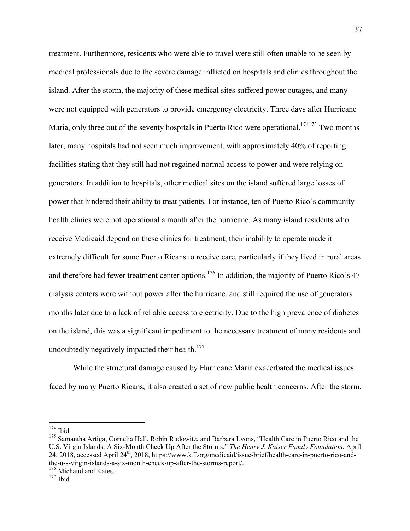treatment. Furthermore, residents who were able to travel were still often unable to be seen by medical professionals due to the severe damage inflicted on hospitals and clinics throughout the island. After the storm, the majority of these medical sites suffered power outages, and many were not equipped with generators to provide emergency electricity. Three days after Hurricane Maria, only three out of the seventy hospitals in Puerto Rico were operational.<sup>174175</sup> Two months later, many hospitals had not seen much improvement, with approximately 40% of reporting facilities stating that they still had not regained normal access to power and were relying on generators. In addition to hospitals, other medical sites on the island suffered large losses of power that hindered their ability to treat patients. For instance, ten of Puerto Rico's community health clinics were not operational a month after the hurricane. As many island residents who receive Medicaid depend on these clinics for treatment, their inability to operate made it extremely difficult for some Puerto Ricans to receive care, particularly if they lived in rural areas and therefore had fewer treatment center options.<sup>176</sup> In addition, the majority of Puerto Rico's 47 dialysis centers were without power after the hurricane, and still required the use of generators months later due to a lack of reliable access to electricity. Due to the high prevalence of diabetes on the island, this was a significant impediment to the necessary treatment of many residents and undoubtedly negatively impacted their health. $177$ 

While the structural damage caused by Hurricane Maria exacerbated the medical issues faced by many Puerto Ricans, it also created a set of new public health concerns. After the storm,

 <sup>174</sup> Ibid.

<sup>&</sup>lt;sup>175</sup> Samantha Artiga, Cornelia Hall, Robin Rudowitz, and Barbara Lyons, "Health Care in Puerto Rico and the U.S. Virgin Islands: A Six-Month Check Up After the Storms," *The Henry J. Kaiser Family Foundation*, April 24, 2018, accessed April 24<sup>th</sup>, 2018, https://www.kff.org/medicaid/issue-brief/health-care-in-puerto-rico-andthe-u-s-virgin-islands-a-six-month-check-up-after-the-storms-report/.

 $176$  Michaud and Kates.<br> $177$  Ibid.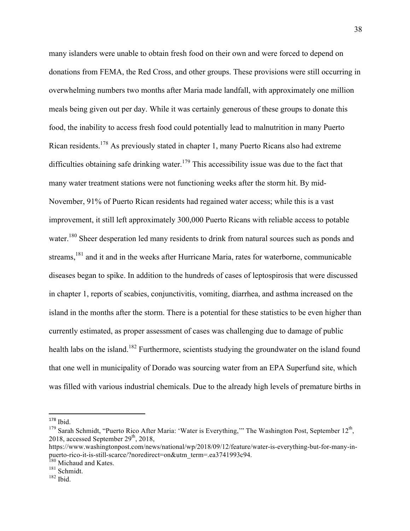many islanders were unable to obtain fresh food on their own and were forced to depend on donations from FEMA, the Red Cross, and other groups. These provisions were still occurring in overwhelming numbers two months after Maria made landfall, with approximately one million meals being given out per day. While it was certainly generous of these groups to donate this food, the inability to access fresh food could potentially lead to malnutrition in many Puerto Rican residents.<sup>178</sup> As previously stated in chapter 1, many Puerto Ricans also had extreme difficulties obtaining safe drinking water.<sup>179</sup> This accessibility issue was due to the fact that many water treatment stations were not functioning weeks after the storm hit. By mid-November, 91% of Puerto Rican residents had regained water access; while this is a vast improvement, it still left approximately 300,000 Puerto Ricans with reliable access to potable water.<sup>180</sup> Sheer desperation led many residents to drink from natural sources such as ponds and streams,  $181$  and it and in the weeks after Hurricane Maria, rates for waterborne, communicable diseases began to spike. In addition to the hundreds of cases of leptospirosis that were discussed in chapter 1, reports of scabies, conjunctivitis, vomiting, diarrhea, and asthma increased on the island in the months after the storm. There is a potential for these statistics to be even higher than currently estimated, as proper assessment of cases was challenging due to damage of public health labs on the island.<sup>182</sup> Furthermore, scientists studying the groundwater on the island found that one well in municipality of Dorado was sourcing water from an EPA Superfund site, which was filled with various industrial chemicals. Due to the already high levels of premature births in

 $178$  Ibid.

<sup>&</sup>lt;sup>179</sup> Sarah Schmidt, "Puerto Rico After Maria: 'Water is Everything," The Washington Post, September 12<sup>th</sup>, 2018, accessed September 29<sup>th</sup>, 2018,

https://www.washingtonpost.com/news/national/wp/2018/09/12/feature/water-is-everything-but-for-many-inpuerto-rico-it-is-still-scarce/?noredirect=on&utm\_term=.ea3741993c94.

<sup>&</sup>lt;sup>180</sup> Michaud and Kates.

<sup>181</sup> Schmidt.  $182$  Ibid.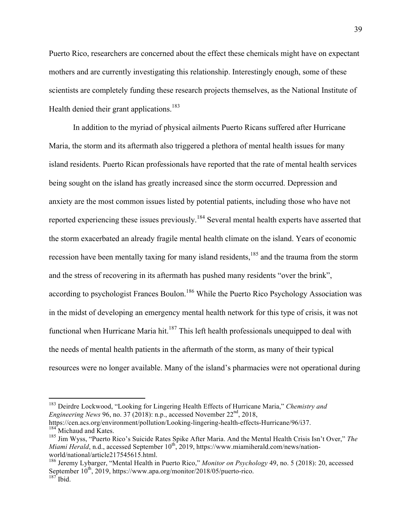Puerto Rico, researchers are concerned about the effect these chemicals might have on expectant mothers and are currently investigating this relationship. Interestingly enough, some of these scientists are completely funding these research projects themselves, as the National Institute of Health denied their grant applications.<sup>183</sup>

In addition to the myriad of physical ailments Puerto Ricans suffered after Hurricane Maria, the storm and its aftermath also triggered a plethora of mental health issues for many island residents. Puerto Rican professionals have reported that the rate of mental health services being sought on the island has greatly increased since the storm occurred. Depression and anxiety are the most common issues listed by potential patients, including those who have not reported experiencing these issues previously.<sup>184</sup> Several mental health experts have asserted that the storm exacerbated an already fragile mental health climate on the island. Years of economic recession have been mentally taxing for many island residents,<sup>185</sup> and the trauma from the storm and the stress of recovering in its aftermath has pushed many residents "over the brink", according to psychologist Frances Boulon.<sup>186</sup> While the Puerto Rico Psychology Association was in the midst of developing an emergency mental health network for this type of crisis, it was not functional when Hurricane Maria hit.<sup>187</sup> This left health professionals unequipped to deal with the needs of mental health patients in the aftermath of the storm, as many of their typical resources were no longer available. Many of the island's pharmacies were not operational during

 <sup>183</sup> Deirdre Lockwood, "Looking for Lingering Health Effects of Hurricane Maria," *Chemistry and Engineering News* 96, no. 37 (2018): n.p., accessed November 22<sup>nd</sup>, 2018,

https://cen.acs.org/environment/pollution/Looking-lingering-health-effects-Hurricane/96/i37. <sup>184</sup> Michaud and Kates.

<sup>185</sup> Jim Wyss, "Puerto Rico's Suicide Rates Spike After Maria. And the Mental Health Crisis Isn't Over," *The Miami Herald*, n.d., accessed September 10<sup>th</sup>, 2019, https://www.miamiherald.com/news/nationworld/national/article217545615.html.

<sup>186</sup> Jeremy Lybarger, "Mental Health in Puerto Rico," *Monitor on Psychology* 49, no. 5 (2018): 20, accessed September 10<sup>th</sup>, 2019, https://www.apa.org/monitor/2018/05/puerto-rico.  $187$  Ibid.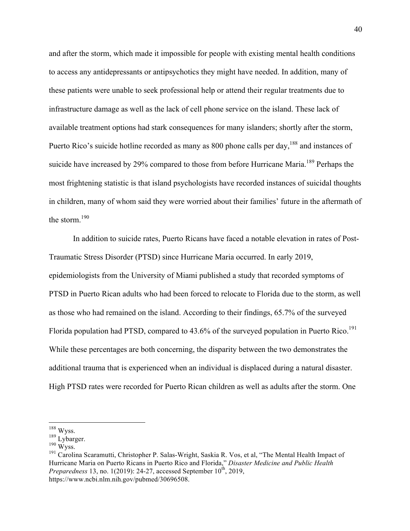and after the storm, which made it impossible for people with existing mental health conditions to access any antidepressants or antipsychotics they might have needed. In addition, many of these patients were unable to seek professional help or attend their regular treatments due to infrastructure damage as well as the lack of cell phone service on the island. These lack of available treatment options had stark consequences for many islanders; shortly after the storm, Puerto Rico's suicide hotline recorded as many as 800 phone calls per day,<sup>188</sup> and instances of suicide have increased by 29% compared to those from before Hurricane Maria.<sup>189</sup> Perhaps the most frightening statistic is that island psychologists have recorded instances of suicidal thoughts in children, many of whom said they were worried about their families' future in the aftermath of the storm.<sup>190</sup>

In addition to suicide rates, Puerto Ricans have faced a notable elevation in rates of Post-Traumatic Stress Disorder (PTSD) since Hurricane Maria occurred. In early 2019, epidemiologists from the University of Miami published a study that recorded symptoms of PTSD in Puerto Rican adults who had been forced to relocate to Florida due to the storm, as well as those who had remained on the island. According to their findings, 65.7% of the surveyed Florida population had PTSD, compared to 43.6% of the surveyed population in Puerto Rico.<sup>191</sup> While these percentages are both concerning, the disparity between the two demonstrates the additional trauma that is experienced when an individual is displaced during a natural disaster. High PTSD rates were recorded for Puerto Rican children as well as adults after the storm. One

 <sup>188</sup> Wyss.

 $189$  Lybarger.<br> $190$  Wyss.

<sup>&</sup>lt;sup>191</sup> Carolina Scaramutti, Christopher P. Salas-Wright, Saskia R. Vos, et al, "The Mental Health Impact of Hurricane Maria on Puerto Ricans in Puerto Rico and Florida," *Disaster Medicine and Public Health Preparedness* 13, no. 1(2019): 24-27, accessed September  $10^{th}$ , 2019, https://www.ncbi.nlm.nih.gov/pubmed/30696508.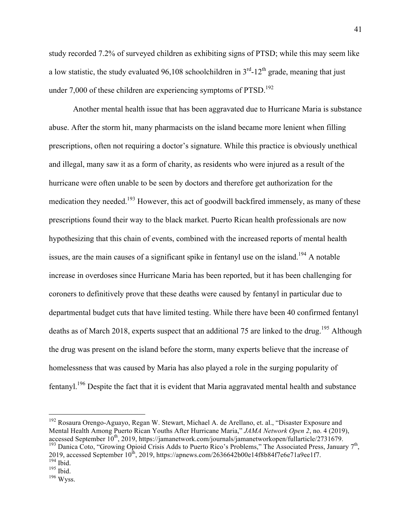study recorded 7.2% of surveyed children as exhibiting signs of PTSD; while this may seem like a low statistic, the study evaluated 96,108 schoolchildren in  $3<sup>rd</sup>$ -12<sup>th</sup> grade, meaning that just under 7,000 of these children are experiencing symptoms of  $PTSD$ <sup>192</sup>

Another mental health issue that has been aggravated due to Hurricane Maria is substance abuse. After the storm hit, many pharmacists on the island became more lenient when filling prescriptions, often not requiring a doctor's signature. While this practice is obviously unethical and illegal, many saw it as a form of charity, as residents who were injured as a result of the hurricane were often unable to be seen by doctors and therefore get authorization for the medication they needed.<sup>193</sup> However, this act of goodwill backfired immensely, as many of these prescriptions found their way to the black market. Puerto Rican health professionals are now hypothesizing that this chain of events, combined with the increased reports of mental health issues, are the main causes of a significant spike in fentanyl use on the island.<sup>194</sup> A notable increase in overdoses since Hurricane Maria has been reported, but it has been challenging for coroners to definitively prove that these deaths were caused by fentanyl in particular due to departmental budget cuts that have limited testing. While there have been 40 confirmed fentanyl deaths as of March 2018, experts suspect that an additional 75 are linked to the drug.<sup>195</sup> Although the drug was present on the island before the storm, many experts believe that the increase of homelessness that was caused by Maria has also played a role in the surging popularity of fentanyl.<sup>196</sup> Despite the fact that it is evident that Maria aggravated mental health and substance

<sup>&</sup>lt;sup>192</sup> Rosaura Orengo-Aguayo, Regan W. Stewart, Michael A. de Arellano, et. al., "Disaster Exposure and Mental Health Among Puerto Rican Youths After Hurricane Maria," *JAMA Network Open 2*, no. 4 (2019), accessed September  $10^{th}$ , 2019, https://jamanetwork.com/journals/jamanetworkopen/fullarticle/2731679. <sup>193</sup> Danica Coto, "Growing Opioid Crisis Adds to Puerto Rico's Problems," The Associated Press, January 7<sup>th</sup>,

<sup>2019,</sup> accessed September  $10^{\text{th}}$ , 2019, https://apnews.com/2636642b00e14f8b84f7e6e71a9ee1f7.  $\frac{194}{194}$  Ibid.

 $195$  Ibid.

 $196$  Wyss.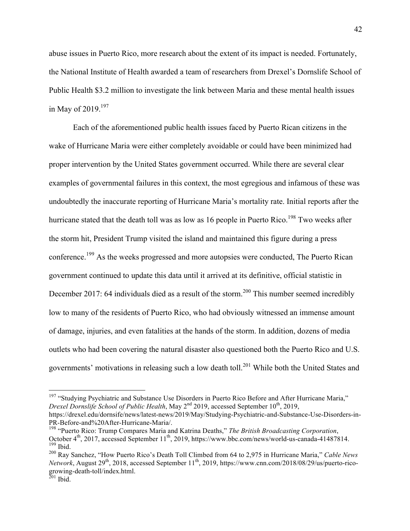abuse issues in Puerto Rico, more research about the extent of its impact is needed. Fortunately, the National Institute of Health awarded a team of researchers from Drexel's Dornslife School of Public Health \$3.2 million to investigate the link between Maria and these mental health issues in May of  $2019.197$ 

Each of the aforementioned public health issues faced by Puerto Rican citizens in the wake of Hurricane Maria were either completely avoidable or could have been minimized had proper intervention by the United States government occurred. While there are several clear examples of governmental failures in this context, the most egregious and infamous of these was undoubtedly the inaccurate reporting of Hurricane Maria's mortality rate. Initial reports after the hurricane stated that the death toll was as low as 16 people in Puerto Rico.<sup>198</sup> Two weeks after the storm hit, President Trump visited the island and maintained this figure during a press conference.<sup>199</sup> As the weeks progressed and more autopsies were conducted, The Puerto Rican government continued to update this data until it arrived at its definitive, official statistic in December 2017: 64 individuals died as a result of the storm.<sup>200</sup> This number seemed incredibly low to many of the residents of Puerto Rico, who had obviously witnessed an immense amount of damage, injuries, and even fatalities at the hands of the storm. In addition, dozens of media outlets who had been covering the natural disaster also questioned both the Puerto Rico and U.S. governments' motivations in releasing such a low death toll.<sup>201</sup> While both the United States and

PR-Before-and%20After-Hurricane-Maria/.

<sup>&</sup>lt;sup>197</sup> "Studying Psychiatric and Substance Use Disorders in Puerto Rico Before and After Hurricane Maria," *Drexel Dornslife School of Public Health*, May 2<sup>nd</sup> 2019, accessed September 10<sup>th</sup>, 2019, https://drexel.edu/dornsife/news/latest-news/2019/May/Studying-Psychiatric-and-Substance-Use-Disorders-in-

<sup>198</sup> "Puerto Rico: Trump Compares Maria and Katrina Deaths," *The British Broadcasting Corporation*, October 4<sup>th</sup>, 2017, accessed September 11<sup>th</sup>, 2019, https://www.bbc.com/news/world-us-canada-41487814.  $199$  Ibid.

<sup>200</sup> Ray Sanchez, "How Puerto Rico's Death Toll Climbed from 64 to 2,975 in Hurricane Maria," *Cable News Network*, August 29<sup>th</sup>, 2018, accessed September 11<sup>th</sup>, 2019, https://www.cnn.com/2018/08/29/us/puerto-ricogrowing-death-toll/index.html.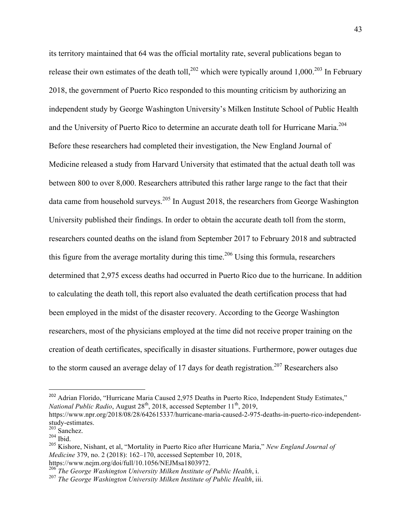its territory maintained that 64 was the official mortality rate, several publications began to release their own estimates of the death toll,  $^{202}$  which were typically around 1,000.<sup>203</sup> In February 2018, the government of Puerto Rico responded to this mounting criticism by authorizing an independent study by George Washington University's Milken Institute School of Public Health and the University of Puerto Rico to determine an accurate death toll for Hurricane Maria.<sup>204</sup> Before these researchers had completed their investigation, the New England Journal of Medicine released a study from Harvard University that estimated that the actual death toll was between 800 to over 8,000. Researchers attributed this rather large range to the fact that their data came from household surveys.<sup>205</sup> In August 2018, the researchers from George Washington University published their findings. In order to obtain the accurate death toll from the storm, researchers counted deaths on the island from September 2017 to February 2018 and subtracted this figure from the average mortality during this time.<sup>206</sup> Using this formula, researchers determined that 2,975 excess deaths had occurred in Puerto Rico due to the hurricane. In addition to calculating the death toll, this report also evaluated the death certification process that had been employed in the midst of the disaster recovery. According to the George Washington researchers, most of the physicians employed at the time did not receive proper training on the creation of death certificates, specifically in disaster situations. Furthermore, power outages due to the storm caused an average delay of 17 days for death registration.<sup>207</sup> Researchers also

 

<sup>&</sup>lt;sup>202</sup> Adrian Florido, "Hurricane Maria Caused 2,975 Deaths in Puerto Rico, Independent Study Estimates," *National Public Radio*, August 28<sup>th</sup>, 2018, accessed September 11<sup>th</sup>, 2019,

https://www.npr.org/2018/08/28/642615337/hurricane-maria-caused-2-975-deaths-in-puerto-rico-independentstudy-estimates.

<sup>203</sup> Sanchez.  $204$  Ibid.

<sup>205</sup> Kishore, Nishant, et al, "Mortality in Puerto Rico after Hurricane Maria," *New England Journal of Medicine* 379, no. 2 (2018): 162–170, accessed September 10, 2018, https://www.nejm.org/doi/full/10.1056/NEJMsa1803972.

<sup>206</sup> *The George Washington University Milken Institute of Public Health*, i.

<sup>207</sup> *The George Washington University Milken Institute of Public Health*, iii.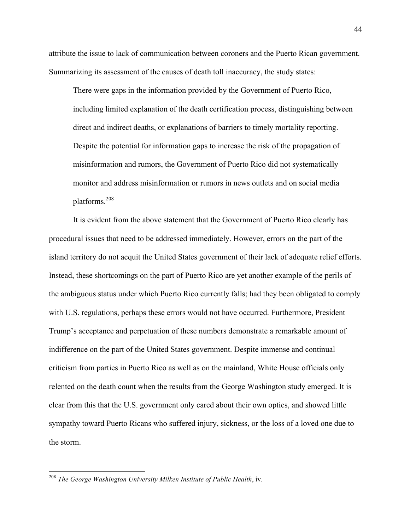attribute the issue to lack of communication between coroners and the Puerto Rican government. Summarizing its assessment of the causes of death toll inaccuracy, the study states:

There were gaps in the information provided by the Government of Puerto Rico, including limited explanation of the death certification process, distinguishing between direct and indirect deaths, or explanations of barriers to timely mortality reporting. Despite the potential for information gaps to increase the risk of the propagation of misinformation and rumors, the Government of Puerto Rico did not systematically monitor and address misinformation or rumors in news outlets and on social media platforms.208

It is evident from the above statement that the Government of Puerto Rico clearly has procedural issues that need to be addressed immediately. However, errors on the part of the island territory do not acquit the United States government of their lack of adequate relief efforts. Instead, these shortcomings on the part of Puerto Rico are yet another example of the perils of the ambiguous status under which Puerto Rico currently falls; had they been obligated to comply with U.S. regulations, perhaps these errors would not have occurred. Furthermore, President Trump's acceptance and perpetuation of these numbers demonstrate a remarkable amount of indifference on the part of the United States government. Despite immense and continual criticism from parties in Puerto Rico as well as on the mainland, White House officials only relented on the death count when the results from the George Washington study emerged. It is clear from this that the U.S. government only cared about their own optics, and showed little sympathy toward Puerto Ricans who suffered injury, sickness, or the loss of a loved one due to the storm.

 <sup>208</sup> *The George Washington University Milken Institute of Public Health*, iv.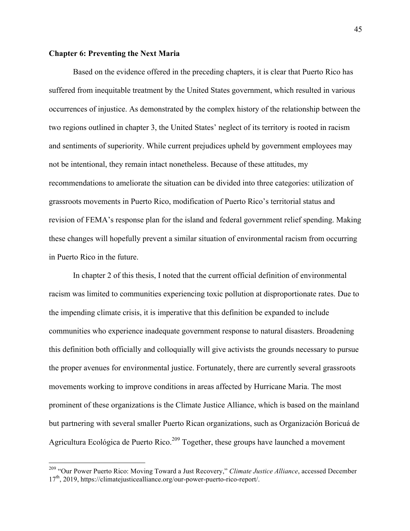### **Chapter 6: Preventing the Next Maria**

Based on the evidence offered in the preceding chapters, it is clear that Puerto Rico has suffered from inequitable treatment by the United States government, which resulted in various occurrences of injustice. As demonstrated by the complex history of the relationship between the two regions outlined in chapter 3, the United States' neglect of its territory is rooted in racism and sentiments of superiority. While current prejudices upheld by government employees may not be intentional, they remain intact nonetheless. Because of these attitudes, my recommendations to ameliorate the situation can be divided into three categories: utilization of grassroots movements in Puerto Rico, modification of Puerto Rico's territorial status and revision of FEMA's response plan for the island and federal government relief spending. Making these changes will hopefully prevent a similar situation of environmental racism from occurring in Puerto Rico in the future.

In chapter 2 of this thesis, I noted that the current official definition of environmental racism was limited to communities experiencing toxic pollution at disproportionate rates. Due to the impending climate crisis, it is imperative that this definition be expanded to include communities who experience inadequate government response to natural disasters. Broadening this definition both officially and colloquially will give activists the grounds necessary to pursue the proper avenues for environmental justice. Fortunately, there are currently several grassroots movements working to improve conditions in areas affected by Hurricane Maria. The most prominent of these organizations is the Climate Justice Alliance, which is based on the mainland but partnering with several smaller Puerto Rican organizations, such as Organización Boricuá de Agricultura Ecológica de Puerto Rico.<sup>209</sup> Together, these groups have launched a movement

 <sup>209</sup> "Our Power Puerto Rico: Moving Toward a Just Recovery," *Climate Justice Alliance*, accessed December 17<sup>th</sup>, 2019, https://climatejusticealliance.org/our-power-puerto-rico-report/.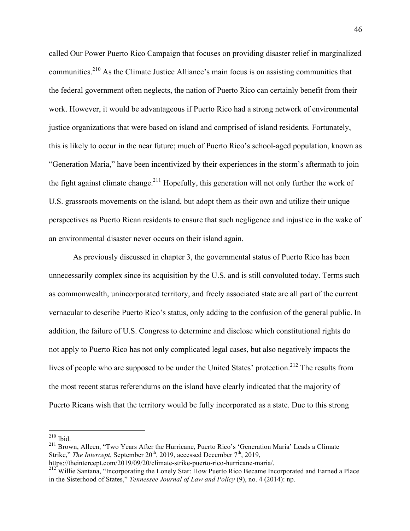called Our Power Puerto Rico Campaign that focuses on providing disaster relief in marginalized communities.<sup>210</sup> As the Climate Justice Alliance's main focus is on assisting communities that the federal government often neglects, the nation of Puerto Rico can certainly benefit from their work. However, it would be advantageous if Puerto Rico had a strong network of environmental justice organizations that were based on island and comprised of island residents. Fortunately, this is likely to occur in the near future; much of Puerto Rico's school-aged population, known as "Generation Maria," have been incentivized by their experiences in the storm's aftermath to join the fight against climate change.<sup>211</sup> Hopefully, this generation will not only further the work of U.S. grassroots movements on the island, but adopt them as their own and utilize their unique perspectives as Puerto Rican residents to ensure that such negligence and injustice in the wake of an environmental disaster never occurs on their island again.

As previously discussed in chapter 3, the governmental status of Puerto Rico has been unnecessarily complex since its acquisition by the U.S. and is still convoluted today. Terms such as commonwealth, unincorporated territory, and freely associated state are all part of the current vernacular to describe Puerto Rico's status, only adding to the confusion of the general public. In addition, the failure of U.S. Congress to determine and disclose which constitutional rights do not apply to Puerto Rico has not only complicated legal cases, but also negatively impacts the lives of people who are supposed to be under the United States' protection.<sup>212</sup> The results from the most recent status referendums on the island have clearly indicated that the majority of Puerto Ricans wish that the territory would be fully incorporated as a state. Due to this strong

 <sup>210</sup> Ibid.

<sup>&</sup>lt;sup>211</sup> Brown, Alleen, "Two Years After the Hurricane, Puerto Rico's 'Generation Maria' Leads a Climate Strike," *The Intercept*, September 20<sup>th</sup>, 2019, accessed December 7<sup>th</sup>, 2019,

https://theintercept.com/2019/09/20/climate-strike-puerto-rico-hurricane-maria/.

<sup>&</sup>lt;sup>212</sup> Willie Santana, "Incorporating the Lonely Star: How Puerto Rico Became Incorporated and Earned a Place in the Sisterhood of States," *Tennessee Journal of Law and Policy* (9), no. 4 (2014): np.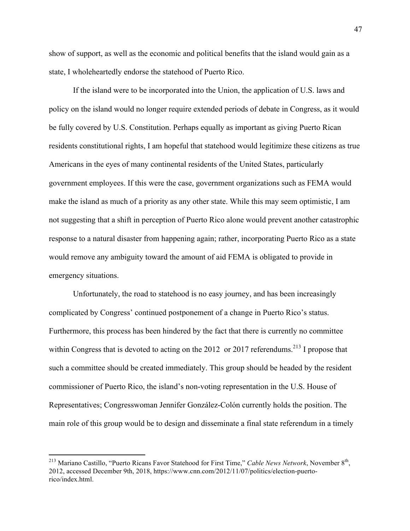show of support, as well as the economic and political benefits that the island would gain as a state, I wholeheartedly endorse the statehood of Puerto Rico.

If the island were to be incorporated into the Union, the application of U.S. laws and policy on the island would no longer require extended periods of debate in Congress, as it would be fully covered by U.S. Constitution. Perhaps equally as important as giving Puerto Rican residents constitutional rights, I am hopeful that statehood would legitimize these citizens as true Americans in the eyes of many continental residents of the United States, particularly government employees. If this were the case, government organizations such as FEMA would make the island as much of a priority as any other state. While this may seem optimistic, I am not suggesting that a shift in perception of Puerto Rico alone would prevent another catastrophic response to a natural disaster from happening again; rather, incorporating Puerto Rico as a state would remove any ambiguity toward the amount of aid FEMA is obligated to provide in emergency situations.

Unfortunately, the road to statehood is no easy journey, and has been increasingly complicated by Congress' continued postponement of a change in Puerto Rico's status. Furthermore, this process has been hindered by the fact that there is currently no committee within Congress that is devoted to acting on the 2012 or 2017 referendums.<sup>213</sup> I propose that such a committee should be created immediately. This group should be headed by the resident commissioner of Puerto Rico, the island's non-voting representation in the U.S. House of Representatives; Congresswoman Jennifer González-Colón currently holds the position. The main role of this group would be to design and disseminate a final state referendum in a timely

<sup>&</sup>lt;sup>213</sup> Mariano Castillo, "Puerto Ricans Favor Statehood for First Time," *Cable News Network*, November 8<sup>th</sup>, 2012, accessed December 9th, 2018, https://www.cnn.com/2012/11/07/politics/election-puertorico/index.html.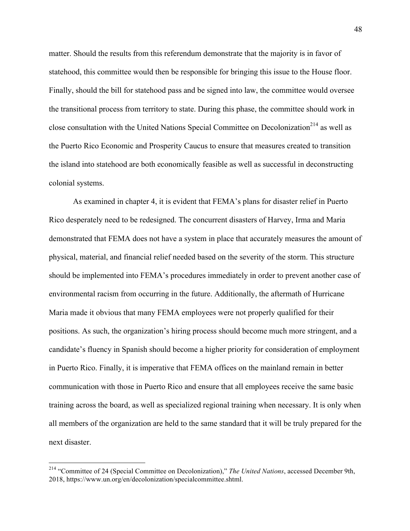matter. Should the results from this referendum demonstrate that the majority is in favor of statehood, this committee would then be responsible for bringing this issue to the House floor. Finally, should the bill for statehood pass and be signed into law, the committee would oversee the transitional process from territory to state. During this phase, the committee should work in close consultation with the United Nations Special Committee on Decolonization<sup>214</sup> as well as the Puerto Rico Economic and Prosperity Caucus to ensure that measures created to transition the island into statehood are both economically feasible as well as successful in deconstructing colonial systems.

As examined in chapter 4, it is evident that FEMA's plans for disaster relief in Puerto Rico desperately need to be redesigned. The concurrent disasters of Harvey, Irma and Maria demonstrated that FEMA does not have a system in place that accurately measures the amount of physical, material, and financial relief needed based on the severity of the storm. This structure should be implemented into FEMA's procedures immediately in order to prevent another case of environmental racism from occurring in the future. Additionally, the aftermath of Hurricane Maria made it obvious that many FEMA employees were not properly qualified for their positions. As such, the organization's hiring process should become much more stringent, and a candidate's fluency in Spanish should become a higher priority for consideration of employment in Puerto Rico. Finally, it is imperative that FEMA offices on the mainland remain in better communication with those in Puerto Rico and ensure that all employees receive the same basic training across the board, as well as specialized regional training when necessary. It is only when all members of the organization are held to the same standard that it will be truly prepared for the next disaster.

 <sup>214</sup> "Committee of 24 (Special Committee on Decolonization)," *The United Nations*, accessed December 9th, 2018, https://www.un.org/en/decolonization/specialcommittee.shtml.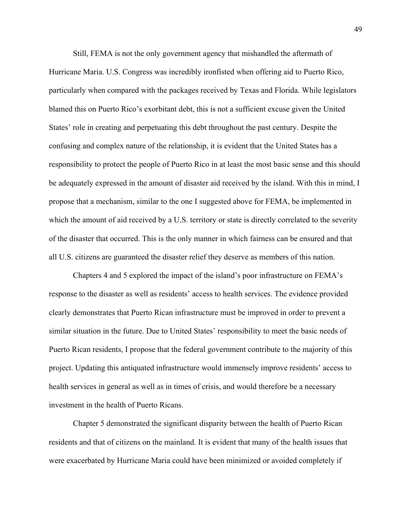Still, FEMA is not the only government agency that mishandled the aftermath of Hurricane Maria. U.S. Congress was incredibly ironfisted when offering aid to Puerto Rico, particularly when compared with the packages received by Texas and Florida. While legislators blamed this on Puerto Rico's exorbitant debt, this is not a sufficient excuse given the United States' role in creating and perpetuating this debt throughout the past century. Despite the confusing and complex nature of the relationship, it is evident that the United States has a responsibility to protect the people of Puerto Rico in at least the most basic sense and this should be adequately expressed in the amount of disaster aid received by the island. With this in mind, I propose that a mechanism, similar to the one I suggested above for FEMA, be implemented in which the amount of aid received by a U.S. territory or state is directly correlated to the severity of the disaster that occurred. This is the only manner in which fairness can be ensured and that all U.S. citizens are guaranteed the disaster relief they deserve as members of this nation.

Chapters 4 and 5 explored the impact of the island's poor infrastructure on FEMA's response to the disaster as well as residents' access to health services. The evidence provided clearly demonstrates that Puerto Rican infrastructure must be improved in order to prevent a similar situation in the future. Due to United States' responsibility to meet the basic needs of Puerto Rican residents, I propose that the federal government contribute to the majority of this project. Updating this antiquated infrastructure would immensely improve residents' access to health services in general as well as in times of crisis, and would therefore be a necessary investment in the health of Puerto Ricans.

Chapter 5 demonstrated the significant disparity between the health of Puerto Rican residents and that of citizens on the mainland. It is evident that many of the health issues that were exacerbated by Hurricane Maria could have been minimized or avoided completely if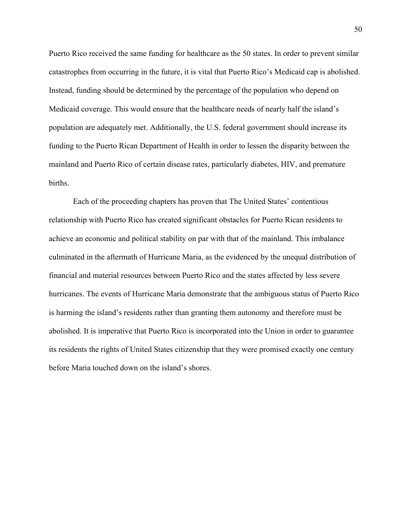Puerto Rico received the same funding for healthcare as the 50 states. In order to prevent similar catastrophes from occurring in the future, it is vital that Puerto Rico's Medicaid cap is abolished. Instead, funding should be determined by the percentage of the population who depend on Medicaid coverage. This would ensure that the healthcare needs of nearly half the island's population are adequately met. Additionally, the U.S. federal government should increase its funding to the Puerto Rican Department of Health in order to lessen the disparity between the mainland and Puerto Rico of certain disease rates, particularly diabetes, HIV, and premature births.

Each of the proceeding chapters has proven that The United States' contentious relationship with Puerto Rico has created significant obstacles for Puerto Rican residents to achieve an economic and political stability on par with that of the mainland. This imbalance culminated in the aftermath of Hurricane Maria, as the evidenced by the unequal distribution of financial and material resources between Puerto Rico and the states affected by less severe hurricanes. The events of Hurricane Maria demonstrate that the ambiguous status of Puerto Rico is harming the island's residents rather than granting them autonomy and therefore must be abolished. It is imperative that Puerto Rico is incorporated into the Union in order to guarantee its residents the rights of United States citizenship that they were promised exactly one century before Maria touched down on the island's shores.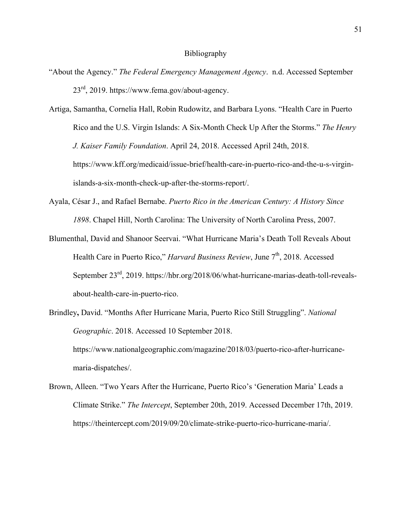#### Bibliography

- "About the Agency." *The Federal Emergency Management Agency*. n.d. Accessed September  $23^{\text{rd}}$ , 2019. https://www.fema.gov/about-agency.
- Artiga, Samantha, Cornelia Hall, Robin Rudowitz, and Barbara Lyons. "Health Care in Puerto Rico and the U.S. Virgin Islands: A Six-Month Check Up After the Storms." *The Henry J. Kaiser Family Foundation*. April 24, 2018. Accessed April 24th, 2018. https://www.kff.org/medicaid/issue-brief/health-care-in-puerto-rico-and-the-u-s-virginislands-a-six-month-check-up-after-the-storms-report/.
- Ayala, César J., and Rafael Bernabe. *Puerto Rico in the American Century: A History Since 1898*. Chapel Hill, North Carolina: The University of North Carolina Press, 2007.
- Blumenthal, David and Shanoor Seervai. "What Hurricane Maria's Death Toll Reveals About Health Care in Puerto Rico," *Harvard Business Review*, June 7<sup>th</sup>, 2018. Accessed September 23<sup>rd</sup>, 2019. https://hbr.org/2018/06/what-hurricane-marias-death-toll-revealsabout-health-care-in-puerto-rico.
- Brindley**,** David. "Months After Hurricane Maria, Puerto Rico Still Struggling". *National Geographic*. 2018. Accessed 10 September 2018. https://www.nationalgeographic.com/magazine/2018/03/puerto-rico-after-hurricane-

maria-dispatches/.

Brown, Alleen. "Two Years After the Hurricane, Puerto Rico's 'Generation Maria' Leads a Climate Strike." *The Intercept*, September 20th, 2019. Accessed December 17th, 2019. https://theintercept.com/2019/09/20/climate-strike-puerto-rico-hurricane-maria/.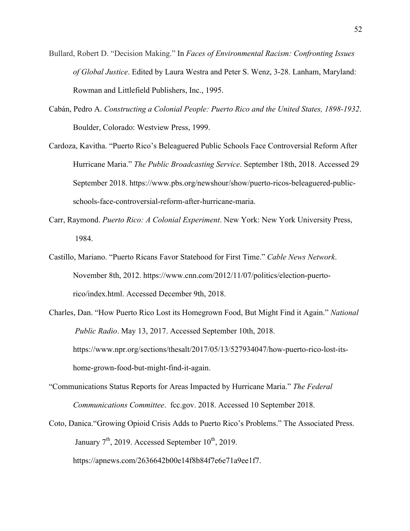- Bullard, Robert D. "Decision Making." In *Faces of Environmental Racism: Confronting Issues of Global Justice*. Edited by Laura Westra and Peter S. Wenz, 3-28. Lanham, Maryland: Rowman and Littlefield Publishers, Inc., 1995.
- Cabán, Pedro A. *Constructing a Colonial People: Puerto Rico and the United States, 1898-1932*. Boulder, Colorado: Westview Press, 1999.
- Cardoza, Kavitha. "Puerto Rico's Beleaguered Public Schools Face Controversial Reform After Hurricane Maria." *The Public Broadcasting Service*. September 18th, 2018. Accessed 29 September 2018. https://www.pbs.org/newshour/show/puerto-ricos-beleaguered-publicschools-face-controversial-reform-after-hurricane-maria.
- Carr, Raymond. *Puerto Rico: A Colonial Experiment*. New York: New York University Press, 1984.
- Castillo, Mariano. "Puerto Ricans Favor Statehood for First Time." *Cable News Network*. November 8th, 2012. https://www.cnn.com/2012/11/07/politics/election-puertorico/index.html. Accessed December 9th, 2018.
- Charles, Dan. "How Puerto Rico Lost its Homegrown Food, But Might Find it Again." *National Public Radio*. May 13, 2017. Accessed September 10th, 2018. https://www.npr.org/sections/thesalt/2017/05/13/527934047/how-puerto-rico-lost-itshome-grown-food-but-might-find-it-again.
- "Communications Status Reports for Areas Impacted by Hurricane Maria." *The Federal Communications Committee*. fcc.gov. 2018. Accessed 10 September 2018.
- Coto, Danica."Growing Opioid Crisis Adds to Puerto Rico's Problems." The Associated Press. January  $7<sup>th</sup>$ , 2019. Accessed September 10<sup>th</sup>, 2019.

https://apnews.com/2636642b00e14f8b84f7e6e71a9ee1f7.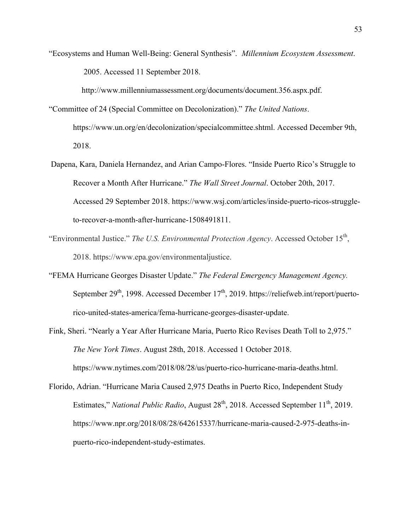"Ecosystems and Human Well-Being: General Synthesis". *Millennium Ecosystem Assessment*. 2005. Accessed 11 September 2018.

http://www.millenniumassessment.org/documents/document.356.aspx.pdf.

- "Committee of 24 (Special Committee on Decolonization)." *The United Nations*. https://www.un.org/en/decolonization/specialcommittee.shtml. Accessed December 9th, 2018.
- Dapena, Kara, Daniela Hernandez, and Arian Campo-Flores. "Inside Puerto Rico's Struggle to Recover a Month After Hurricane." *The Wall Street Journal*. October 20th, 2017. Accessed 29 September 2018. https://www.wsj.com/articles/inside-puerto-ricos-struggleto-recover-a-month-after-hurricane-1508491811.
- "Environmental Justice." *The U.S. Environmental Protection Agency*. Accessed October 15<sup>th</sup>, 2018. https://www.epa.gov/environmentaljustice.
- "FEMA Hurricane Georges Disaster Update." *The Federal Emergency Management Agency.* September  $29<sup>th</sup>$ , 1998. Accessed December 17<sup>th</sup>, 2019. https://reliefweb.int/report/puertorico-united-states-america/fema-hurricane-georges-disaster-update.
- Fink, Sheri. "Nearly a Year After Hurricane Maria, Puerto Rico Revises Death Toll to 2,975." *The New York Times*. August 28th, 2018. Accessed 1 October 2018. https://www.nytimes.com/2018/08/28/us/puerto-rico-hurricane-maria-deaths.html.
- Florido, Adrian. "Hurricane Maria Caused 2,975 Deaths in Puerto Rico, Independent Study Estimates," *National Public Radio*, August 28<sup>th</sup>, 2018. Accessed September 11<sup>th</sup>, 2019. https://www.npr.org/2018/08/28/642615337/hurricane-maria-caused-2-975-deaths-inpuerto-rico-independent-study-estimates.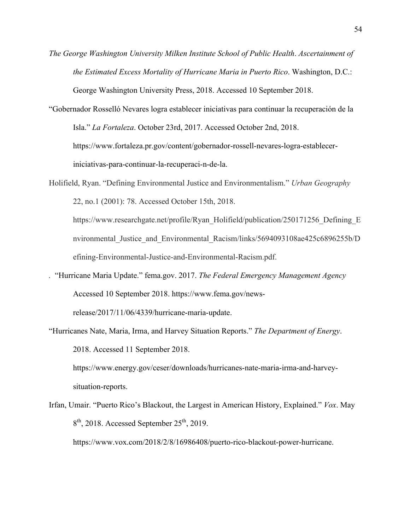- *The George Washington University Milken Institute School of Public Health*. *Ascertainment of the Estimated Excess Mortality of Hurricane Maria in Puerto Rico*. Washington, D.C.: George Washington University Press, 2018. Accessed 10 September 2018.
- "Gobernador Rosselló Nevares logra establecer iniciativas para continuar la recuperación de la Isla." *La Fortaleza*. October 23rd, 2017. Accessed October 2nd, 2018. https://www.fortaleza.pr.gov/content/gobernador-rossell-nevares-logra-estableceriniciativas-para-continuar-la-recuperaci-n-de-la.
- Holifield, Ryan. "Defining Environmental Justice and Environmentalism." *Urban Geography* 22, no.1 (2001): 78. Accessed October 15th, 2018.

https://www.researchgate.net/profile/Ryan\_Holifield/publication/250171256\_Defining\_E nvironmental Justice and Environmental Racism/links/5694093108ae425c6896255b/D efining-Environmental-Justice-and-Environmental-Racism.pdf.

- *.* "Hurricane Maria Update." fema.gov. 2017. *The Federal Emergency Management Agency* Accessed 10 September 2018. https://www.fema.gov/newsrelease/2017/11/06/4339/hurricane-maria-update.
- "Hurricanes Nate, Maria, Irma, and Harvey Situation Reports." *The Department of Energy*. 2018. Accessed 11 September 2018.

https://www.energy.gov/ceser/downloads/hurricanes-nate-maria-irma-and-harveysituation-reports.

Irfan, Umair. "Puerto Rico's Blackout, the Largest in American History, Explained." *Vox*. May  $8<sup>th</sup>$ , 2018. Accessed September 25<sup>th</sup>, 2019.

https://www.vox.com/2018/2/8/16986408/puerto-rico-blackout-power-hurricane.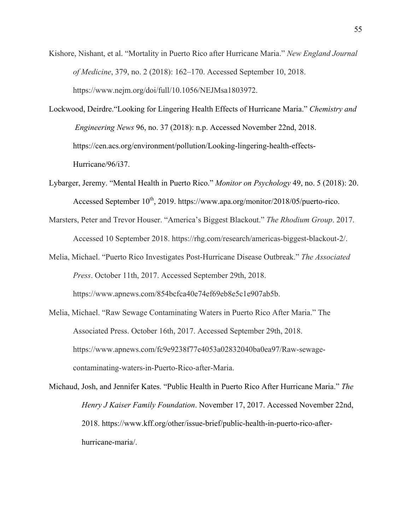- Kishore, Nishant, et al. "Mortality in Puerto Rico after Hurricane Maria." *New England Journal of Medicine*, 379, no. 2 (2018): 162–170. Accessed September 10, 2018. https://www.nejm.org/doi/full/10.1056/NEJMsa1803972.
- Lockwood, Deirdre."Looking for Lingering Health Effects of Hurricane Maria." *Chemistry and Engineering News* 96, no. 37 (2018): n.p. Accessed November 22nd, 2018. https://cen.acs.org/environment/pollution/Looking-lingering-health-effects-Hurricane/96/i37.
- Lybarger, Jeremy. "Mental Health in Puerto Rico." *Monitor on Psychology* 49, no. 5 (2018): 20. Accessed September  $10^{th}$ , 2019. https://www.apa.org/monitor/2018/05/puerto-rico.
- Marsters, Peter and Trevor Houser. "America's Biggest Blackout." *The Rhodium Group*. 2017. Accessed 10 September 2018. https://rhg.com/research/americas-biggest-blackout-2/.
- Melia, Michael. "Puerto Rico Investigates Post-Hurricane Disease Outbreak." *The Associated Press*. October 11th, 2017. Accessed September 29th, 2018. https://www.apnews.com/854bcfca40e74ef69eb8e5c1e907ab5b.
- Melia, Michael. "Raw Sewage Contaminating Waters in Puerto Rico After Maria." The Associated Press. October 16th, 2017. Accessed September 29th, 2018. https://www.apnews.com/fc9e9238f77e4053a02832040ba0ea97/Raw-sewagecontaminating-waters-in-Puerto-Rico-after-Maria.
- Michaud, Josh, and Jennifer Kates. "Public Health in Puerto Rico After Hurricane Maria." *The Henry J Kaiser Family Foundation*. November 17, 2017. Accessed November 22nd, 2018. https://www.kff.org/other/issue-brief/public-health-in-puerto-rico-afterhurricane-maria/.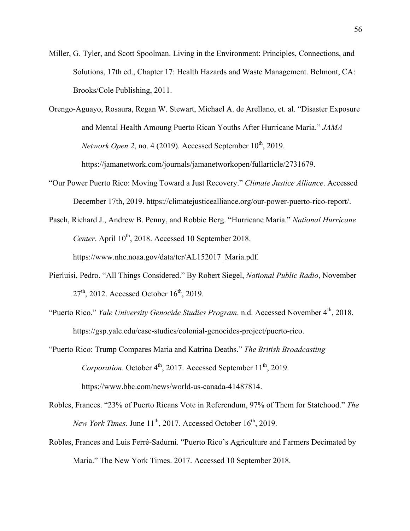- Miller, G. Tyler, and Scott Spoolman. Living in the Environment: Principles, Connections, and Solutions, 17th ed., Chapter 17: Health Hazards and Waste Management. Belmont, CA: Brooks/Cole Publishing, 2011.
- Orengo-Aguayo, Rosaura, Regan W. Stewart, Michael A. de Arellano, et. al. "Disaster Exposure and Mental Health Amoung Puerto Rican Youths After Hurricane Maria." *JAMA*   $Network Open 2, no. 4 (2019)$ . Accessed September  $10<sup>th</sup>$ , 2019. https://jamanetwork.com/journals/jamanetworkopen/fullarticle/2731679.
- "Our Power Puerto Rico: Moving Toward a Just Recovery." *Climate Justice Alliance*. Accessed December 17th, 2019. https://climatejusticealliance.org/our-power-puerto-rico-report/.
- Pasch, Richard J., Andrew B. Penny, and Robbie Berg. "Hurricane Maria." *National Hurricane Center*. April  $10^{th}$ , 2018. Accessed 10 September 2018. https://www.nhc.noaa.gov/data/tcr/AL152017 Maria.pdf.
- Pierluisi, Pedro. "All Things Considered." By Robert Siegel, *National Public Radio*, November  $27<sup>th</sup>$ , 2012. Accessed October 16<sup>th</sup>, 2019.
- "Puerto Rico." *Yale University Genocide Studies Program*. n.d. Accessed November 4<sup>th</sup>, 2018. https://gsp.yale.edu/case-studies/colonial-genocides-project/puerto-rico.
- "Puerto Rico: Trump Compares Maria and Katrina Deaths." *The British Broadcasting Corporation*. October 4<sup>th</sup>, 2017. Accessed September 11<sup>th</sup>, 2019. https://www.bbc.com/news/world-us-canada-41487814.
- Robles, Frances. "23% of Puerto Ricans Vote in Referendum, 97% of Them for Statehood." *The New York Times.* June 11<sup>th</sup>, 2017. Accessed October 16<sup>th</sup>, 2019.
- Robles, Frances and Luis Ferré-Sadurní. "Puerto Rico's Agriculture and Farmers Decimated by Maria." The New York Times. 2017. Accessed 10 September 2018.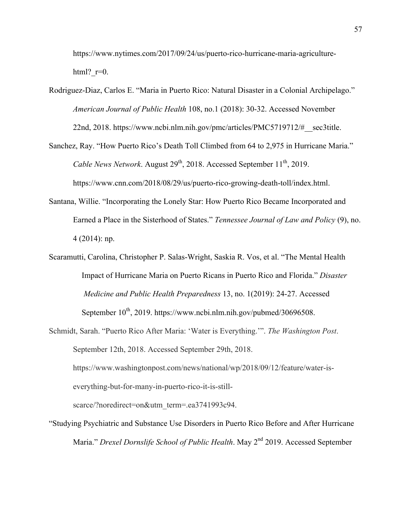https://www.nytimes.com/2017/09/24/us/puerto-rico-hurricane-maria-agriculturehtml?  $r=0$ .

- Rodriguez-Diaz, Carlos E. "Maria in Puerto Rico: Natural Disaster in a Colonial Archipelago." *American Journal of Public Health* 108, no.1 (2018): 30-32. Accessed November 22nd, 2018. https://www.ncbi.nlm.nih.gov/pmc/articles/PMC5719712/#\_\_sec3title.
- Sanchez, Ray. "How Puerto Rico's Death Toll Climbed from 64 to 2,975 in Hurricane Maria." *Cable News Network.* August  $29^{th}$ , 2018. Accessed September 11<sup>th</sup>, 2019. https://www.cnn.com/2018/08/29/us/puerto-rico-growing-death-toll/index.html.
- Santana, Willie. "Incorporating the Lonely Star: How Puerto Rico Became Incorporated and Earned a Place in the Sisterhood of States." *Tennessee Journal of Law and Policy* (9), no. 4 (2014): np.
- Scaramutti, Carolina, Christopher P. Salas-Wright, Saskia R. Vos, et al. "The Mental Health Impact of Hurricane Maria on Puerto Ricans in Puerto Rico and Florida." *Disaster Medicine and Public Health Preparedness* 13, no. 1(2019): 24-27. Accessed September  $10^{th}$ , 2019. https://www.ncbi.nlm.nih.gov/pubmed/30696508.
- Schmidt, Sarah. "Puerto Rico After Maria: 'Water is Everything.'". *The Washington Post*. September 12th, 2018. Accessed September 29th, 2018. https://www.washingtonpost.com/news/national/wp/2018/09/12/feature/water-iseverything-but-for-many-in-puerto-rico-it-is-stillscarce/?noredirect=on&utm\_term=.ea3741993c94.
- "Studying Psychiatric and Substance Use Disorders in Puerto Rico Before and After Hurricane Maria." *Drexel Dornslife School of Public Health*. May 2<sup>nd</sup> 2019. Accessed September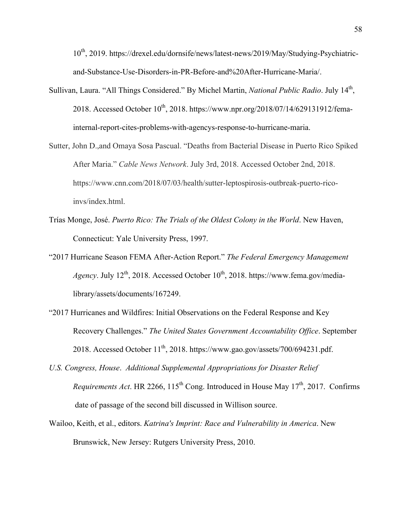10th, 2019. https://drexel.edu/dornsife/news/latest-news/2019/May/Studying-Psychiatricand-Substance-Use-Disorders-in-PR-Before-and%20After-Hurricane-Maria/.

- Sullivan, Laura. "All Things Considered." By Michel Martin, *National Public Radio*. July 14th, 2018. Accessed October 10<sup>th</sup>, 2018. https://www.npr.org/2018/07/14/629131912/femainternal-report-cites-problems-with-agencys-response-to-hurricane-maria.
- Sutter, John D.,and Omaya Sosa Pascual. "Deaths from Bacterial Disease in Puerto Rico Spiked After Maria." *Cable News Network*. July 3rd, 2018. Accessed October 2nd, 2018. https://www.cnn.com/2018/07/03/health/sutter-leptospirosis-outbreak-puerto-ricoinvs/index.html.
- Trías Monge, José. *Puerto Rico: The Trials of the Oldest Colony in the World*. New Haven, Connecticut: Yale University Press, 1997.
- "2017 Hurricane Season FEMA After-Action Report." *The Federal Emergency Management Agency*. July  $12^{th}$ , 2018. Accessed October  $10^{th}$ , 2018. https://www.fema.gov/medialibrary/assets/documents/167249.
- "2017 Hurricanes and Wildfires: Initial Observations on the Federal Response and Key Recovery Challenges." *The United States Government Accountability Office*. September 2018. Accessed October  $11<sup>th</sup>$ , 2018. https://www.gao.gov/assets/700/694231.pdf.
- *U.S. Congress, House*. *Additional Supplemental Appropriations for Disaster Relief Requirements Act.* HR 2266,  $115^{th}$  Cong. Introduced in House May  $17^{th}$ , 2017. Confirms date of passage of the second bill discussed in Willison source.
- Wailoo, Keith, et al., editors. *Katrina's Imprint: Race and Vulnerability in America*. New Brunswick, New Jersey: Rutgers University Press, 2010.